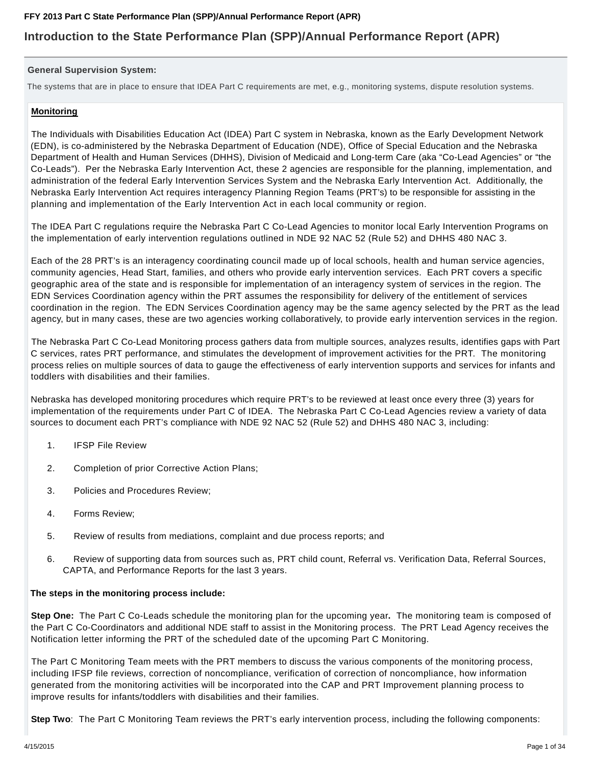## **Introduction to the State Performance Plan (SPP)/Annual Performance Report (APR)**

## **General Supervision System:**

The systems that are in place to ensure that IDEA Part C requirements are met, e.g., monitoring systems, dispute resolution systems.

## **Monitoring**

The Individuals with Disabilities Education Act (IDEA) Part C system in Nebraska, known as the Early Development Network (EDN), is co-administered by the Nebraska Department of Education (NDE), Office of Special Education and the Nebraska Department of Health and Human Services (DHHS), Division of Medicaid and Long-term Care (aka "Co-Lead Agencies" or "the Co-Leads"). Per the Nebraska Early Intervention Act, these 2 agencies are responsible for the planning, implementation, and administration of the federal Early Intervention Services System and the Nebraska Early Intervention Act. Additionally, the Nebraska Early Intervention Act requires interagency Planning Region Teams (PRT's) to be responsible for assisting in the planning and implementation of the Early Intervention Act in each local community or region.

The IDEA Part C regulations require the Nebraska Part C Co-Lead Agencies to monitor local Early Intervention Programs on the implementation of early intervention regulations outlined in NDE 92 NAC 52 (Rule 52) and DHHS 480 NAC 3.

Each of the 28 PRT's is an interagency coordinating council made up of local schools, health and human service agencies, community agencies, Head Start, families, and others who provide early intervention services. Each PRT covers a specific geographic area of the state and is responsible for implementation of an interagency system of services in the region. The EDN Services Coordination agency within the PRT assumes the responsibility for delivery of the entitlement of services coordination in the region. The EDN Services Coordination agency may be the same agency selected by the PRT as the lead agency, but in many cases, these are two agencies working collaboratively, to provide early intervention services in the region.

The Nebraska Part C Co-Lead Monitoring process gathers data from multiple sources, analyzes results, identifies gaps with Part C services, rates PRT performance, and stimulates the development of improvement activities for the PRT. The monitoring process relies on multiple sources of data to gauge the effectiveness of early intervention supports and services for infants and toddlers with disabilities and their families.

Nebraska has developed monitoring procedures which require PRT's to be reviewed at least once every three (3) years for implementation of the requirements under Part C of IDEA. The Nebraska Part C Co-Lead Agencies review a variety of data sources to document each PRT's compliance with NDE 92 NAC 52 (Rule 52) and DHHS 480 NAC 3, including:

- 1. IFSP File Review
- 2. Completion of prior Corrective Action Plans;
- 3. Policies and Procedures Review;
- 4. Forms Review;
- 5. Review of results from mediations, complaint and due process reports; and
- 6. Review of supporting data from sources such as, PRT child count, Referral vs. Verification Data, Referral Sources, CAPTA, and Performance Reports for the last 3 years.

## **The steps in the monitoring process include:**

**Step One:** The Part C Co-Leads schedule the monitoring plan for the upcoming year**.** The monitoring team is composed of the Part C Co-Coordinators and additional NDE staff to assist in the Monitoring process. The PRT Lead Agency receives the Notification letter informing the PRT of the scheduled date of the upcoming Part C Monitoring.

The Part C Monitoring Team meets with the PRT members to discuss the various components of the monitoring process, including IFSP file reviews, correction of noncompliance, verification of correction of noncompliance, how information generated from the monitoring activities will be incorporated into the CAP and PRT Improvement planning process to improve results for infants/toddlers with disabilities and their families.

**Step Two**: The Part C Monitoring Team reviews the PRT's early intervention process, including the following components: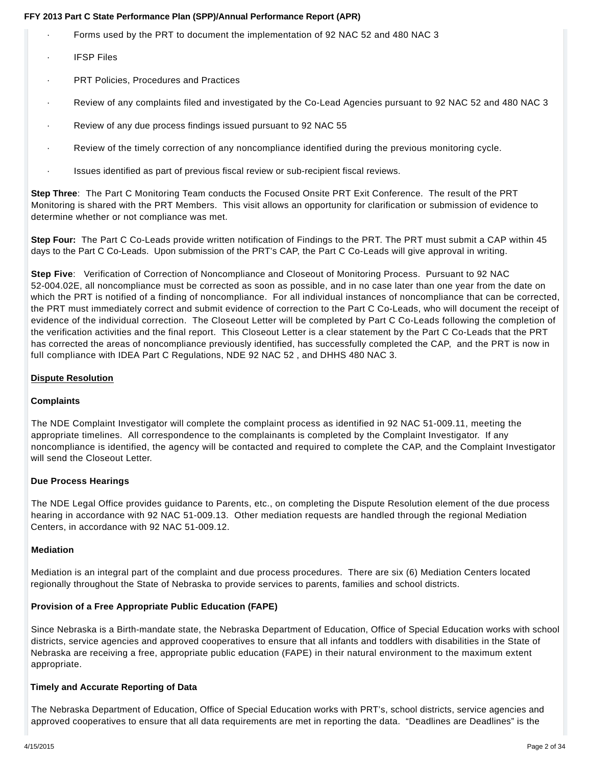- · Forms used by the PRT to document the implementation of 92 NAC 52 and 480 NAC 3
- · IFSP Files
- PRT Policies, Procedures and Practices
- · Review of any complaints filed and investigated by the Co-Lead Agencies pursuant to 92 NAC 52 and 480 NAC 3
- · Review of any due process findings issued pursuant to 92 NAC 55
- · Review of the timely correction of any noncompliance identified during the previous monitoring cycle.
- · Issues identified as part of previous fiscal review or sub-recipient fiscal reviews.

**Step Three**: The Part C Monitoring Team conducts the Focused Onsite PRT Exit Conference. The result of the PRT Monitoring is shared with the PRT Members. This visit allows an opportunity for clarification or submission of evidence to determine whether or not compliance was met.

**Step Four:** The Part C Co-Leads provide written notification of Findings to the PRT. The PRT must submit a CAP within 45 days to the Part C Co-Leads. Upon submission of the PRT's CAP, the Part C Co-Leads will give approval in writing.

**Step Five**: Verification of Correction of Noncompliance and Closeout of Monitoring Process. Pursuant to 92 NAC 52-004.02E, all noncompliance must be corrected as soon as possible, and in no case later than one year from the date on which the PRT is notified of a finding of noncompliance. For all individual instances of noncompliance that can be corrected, the PRT must immediately correct and submit evidence of correction to the Part C Co-Leads, who will document the receipt of evidence of the individual correction. The Closeout Letter will be completed by Part C Co-Leads following the completion of the verification activities and the final report. This Closeout Letter is a clear statement by the Part C Co-Leads that the PRT has corrected the areas of noncompliance previously identified, has successfully completed the CAP, and the PRT is now in full compliance with IDEA Part C Regulations, NDE 92 NAC 52 , and DHHS 480 NAC 3.

## **Dispute Resolution**

## **Complaints**

The NDE Complaint Investigator will complete the complaint process as identified in 92 NAC 51-009.11, meeting the appropriate timelines. All correspondence to the complainants is completed by the Complaint Investigator. If any noncompliance is identified, the agency will be contacted and required to complete the CAP, and the Complaint Investigator will send the Closeout Letter.

## **Due Process Hearings**

The NDE Legal Office provides guidance to Parents, etc., on completing the Dispute Resolution element of the due process hearing in accordance with 92 NAC 51-009.13. Other mediation requests are handled through the regional Mediation Centers, in accordance with 92 NAC 51-009.12.

## **Mediation**

Mediation is an integral part of the complaint and due process procedures. There are six (6) Mediation Centers located regionally throughout the State of Nebraska to provide services to parents, families and school districts.

## **Provision of a Free Appropriate Public Education (FAPE)**

Since Nebraska is a Birth-mandate state, the Nebraska Department of Education, Office of Special Education works with school districts, service agencies and approved cooperatives to ensure that all infants and toddlers with disabilities in the State of Nebraska are receiving a free, appropriate public education (FAPE) in their natural environment to the maximum extent appropriate.

## **Timely and Accurate Reporting of Data**

The Nebraska Department of Education, Office of Special Education works with PRT's, school districts, service agencies and approved cooperatives to ensure that all data requirements are met in reporting the data. "Deadlines are Deadlines" is the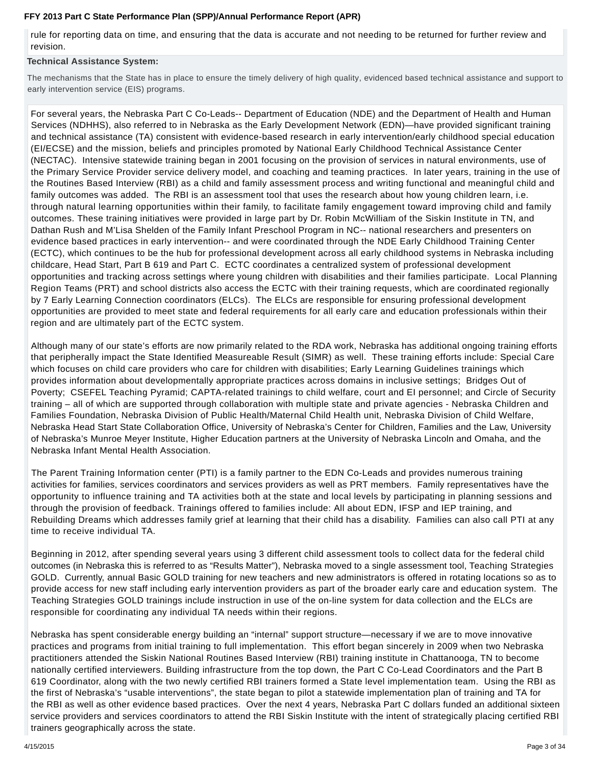rule for reporting data on time, and ensuring that the data is accurate and not needing to be returned for further review and revision.

## **Technical Assistance System:**

The mechanisms that the State has in place to ensure the timely delivery of high quality, evidenced based technical assistance and support to early intervention service (EIS) programs.

For several years, the Nebraska Part C Co-Leads-- Department of Education (NDE) and the Department of Health and Human Services (NDHHS), also referred to in Nebraska as the Early Development Network (EDN)—have provided significant training and technical assistance (TA) consistent with evidence-based research in early intervention/early childhood special education (EI/ECSE) and the mission, beliefs and principles promoted by National Early Childhood Technical Assistance Center (NECTAC). Intensive statewide training began in 2001 focusing on the provision of services in natural environments, use of the Primary Service Provider service delivery model, and coaching and teaming practices. In later years, training in the use of the Routines Based Interview (RBI) as a child and family assessment process and writing functional and meaningful child and family outcomes was added. The RBI is an assessment tool that uses the research about how young children learn, i.e. through natural learning opportunities within their family, to facilitate family engagement toward improving child and family outcomes. These training initiatives were provided in large part by Dr. Robin McWilliam of the Siskin Institute in TN, and Dathan Rush and M'Lisa Shelden of the Family Infant Preschool Program in NC-- national researchers and presenters on evidence based practices in early intervention-- and were coordinated through the NDE Early Childhood Training Center (ECTC), which continues to be the hub for professional development across all early childhood systems in Nebraska including childcare, Head Start, Part B 619 and Part C. ECTC coordinates a centralized system of professional development opportunities and tracking across settings where young children with disabilities and their families participate. Local Planning Region Teams (PRT) and school districts also access the ECTC with their training requests, which are coordinated regionally by 7 Early Learning Connection coordinators (ELCs). The ELCs are responsible for ensuring professional development opportunities are provided to meet state and federal requirements for all early care and education professionals within their region and are ultimately part of the ECTC system.

Although many of our state's efforts are now primarily related to the RDA work, Nebraska has additional ongoing training efforts that peripherally impact the State Identified Measureable Result (SIMR) as well. These training efforts include: Special Care which focuses on child care providers who care for children with disabilities; Early Learning Guidelines trainings which provides information about developmentally appropriate practices across domains in inclusive settings; Bridges Out of Poverty; CSEFEL Teaching Pyramid; CAPTA-related trainings to child welfare, court and EI personnel; and Circle of Security training – all of which are supported through collaboration with multiple state and private agencies - Nebraska Children and Families Foundation, Nebraska Division of Public Health/Maternal Child Health unit, Nebraska Division of Child Welfare, Nebraska Head Start State Collaboration Office, University of Nebraska's Center for Children, Families and the Law, University of Nebraska's Munroe Meyer Institute, Higher Education partners at the University of Nebraska Lincoln and Omaha, and the Nebraska Infant Mental Health Association.

The Parent Training Information center (PTI) is a family partner to the EDN Co-Leads and provides numerous training activities for families, services coordinators and services providers as well as PRT members. Family representatives have the opportunity to influence training and TA activities both at the state and local levels by participating in planning sessions and through the provision of feedback. Trainings offered to families include: All about EDN, IFSP and IEP training, and Rebuilding Dreams which addresses family grief at learning that their child has a disability. Families can also call PTI at any time to receive individual TA.

Beginning in 2012, after spending several years using 3 different child assessment tools to collect data for the federal child outcomes (in Nebraska this is referred to as "Results Matter"), Nebraska moved to a single assessment tool, Teaching Strategies GOLD. Currently, annual Basic GOLD training for new teachers and new administrators is offered in rotating locations so as to provide access for new staff including early intervention providers as part of the broader early care and education system. The Teaching Strategies GOLD trainings include instruction in use of the on-line system for data collection and the ELCs are responsible for coordinating any individual TA needs within their regions.

Nebraska has spent considerable energy building an "internal" support structure—necessary if we are to move innovative practices and programs from initial training to full implementation. This effort began sincerely in 2009 when two Nebraska practitioners attended the Siskin National Routines Based Interview (RBI) training institute in Chattanooga, TN to become nationally certified interviewers. Building infrastructure from the top down, the Part C Co-Lead Coordinators and the Part B 619 Coordinator, along with the two newly certified RBI trainers formed a State level implementation team. Using the RBI as the first of Nebraska's "usable interventions", the state began to pilot a statewide implementation plan of training and TA for the RBI as well as other evidence based practices. Over the next 4 years, Nebraska Part C dollars funded an additional sixteen service providers and services coordinators to attend the RBI Siskin Institute with the intent of strategically placing certified RBI trainers geographically across the state.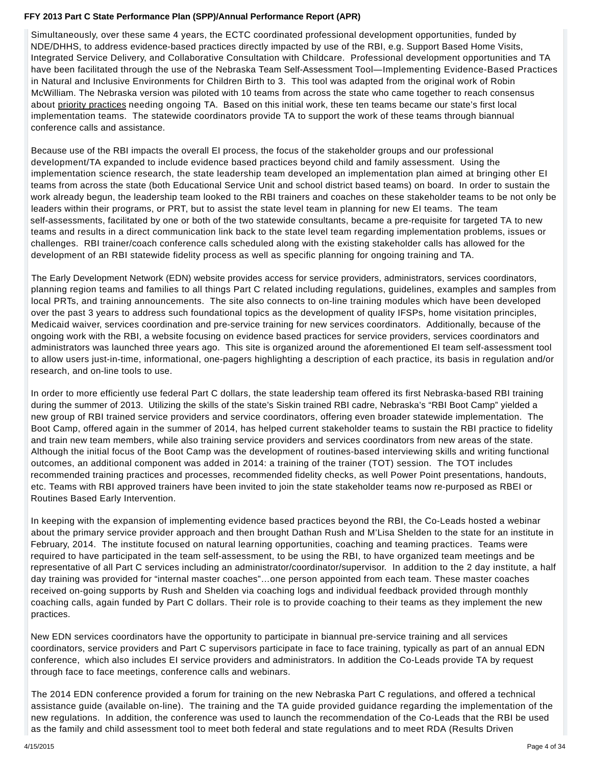Simultaneously, over these same 4 years, the ECTC coordinated professional development opportunities, funded by NDE/DHHS, to address evidence-based practices directly impacted by use of the RBI, e.g. Support Based Home Visits, Integrated Service Delivery, and Collaborative Consultation with Childcare. Professional development opportunities and TA have been facilitated through the use of the Nebraska Team Self-Assessment Tool—Implementing Evidence-Based Practices in Natural and Inclusive Environments for Children Birth to 3. This tool was adapted from the original work of Robin McWilliam. The Nebraska version was piloted with 10 teams from across the state who came together to reach consensus about priority practices needing ongoing TA. Based on this initial work, these ten teams became our state's first local implementation teams. The statewide coordinators provide TA to support the work of these teams through biannual conference calls and assistance.

Because use of the RBI impacts the overall EI process, the focus of the stakeholder groups and our professional development/TA expanded to include evidence based practices beyond child and family assessment. Using the implementation science research, the state leadership team developed an implementation plan aimed at bringing other EI teams from across the state (both Educational Service Unit and school district based teams) on board. In order to sustain the work already begun, the leadership team looked to the RBI trainers and coaches on these stakeholder teams to be not only be leaders within their programs, or PRT, but to assist the state level team in planning for new EI teams. The team self-assessments, facilitated by one or both of the two statewide consultants, became a pre-requisite for targeted TA to new teams and results in a direct communication link back to the state level team regarding implementation problems, issues or challenges. RBI trainer/coach conference calls scheduled along with the existing stakeholder calls has allowed for the development of an RBI statewide fidelity process as well as specific planning for ongoing training and TA.

The Early Development Network (EDN) website provides access for service providers, administrators, services coordinators, planning region teams and families to all things Part C related including regulations, guidelines, examples and samples from local PRTs, and training announcements. The site also connects to on-line training modules which have been developed over the past 3 years to address such foundational topics as the development of quality IFSPs, home visitation principles, Medicaid waiver, services coordination and pre-service training for new services coordinators. Additionally, because of the ongoing work with the RBI, a website focusing on evidence based practices for service providers, services coordinators and administrators was launched three years ago. This site is organized around the aforementioned EI team self-assessment tool to allow users just-in-time, informational, one-pagers highlighting a description of each practice, its basis in regulation and/or research, and on-line tools to use.

In order to more efficiently use federal Part C dollars, the state leadership team offered its first Nebraska-based RBI training during the summer of 2013. Utilizing the skills of the state's Siskin trained RBI cadre, Nebraska's "RBI Boot Camp" yielded a new group of RBI trained service providers and service coordinators, offering even broader statewide implementation. The Boot Camp, offered again in the summer of 2014, has helped current stakeholder teams to sustain the RBI practice to fidelity and train new team members, while also training service providers and services coordinators from new areas of the state. Although the initial focus of the Boot Camp was the development of routines-based interviewing skills and writing functional outcomes, an additional component was added in 2014: a training of the trainer (TOT) session. The TOT includes recommended training practices and processes, recommended fidelity checks, as well Power Point presentations, handouts, etc. Teams with RBI approved trainers have been invited to join the state stakeholder teams now re-purposed as RBEI or Routines Based Early Intervention.

In keeping with the expansion of implementing evidence based practices beyond the RBI, the Co-Leads hosted a webinar about the primary service provider approach and then brought Dathan Rush and M'Lisa Shelden to the state for an institute in February, 2014. The institute focused on natural learning opportunities, coaching and teaming practices. Teams were required to have participated in the team self-assessment, to be using the RBI, to have organized team meetings and be representative of all Part C services including an administrator/coordinator/supervisor. In addition to the 2 day institute, a half day training was provided for "internal master coaches"…one person appointed from each team. These master coaches received on-going supports by Rush and Shelden via coaching logs and individual feedback provided through monthly coaching calls, again funded by Part C dollars. Their role is to provide coaching to their teams as they implement the new practices.

New EDN services coordinators have the opportunity to participate in biannual pre-service training and all services coordinators, service providers and Part C supervisors participate in face to face training, typically as part of an annual EDN conference, which also includes EI service providers and administrators. In addition the Co-Leads provide TA by request through face to face meetings, conference calls and webinars.

The 2014 EDN conference provided a forum for training on the new Nebraska Part C regulations, and offered a technical assistance guide (available on-line). The training and the TA guide provided guidance regarding the implementation of the new regulations. In addition, the conference was used to launch the recommendation of the Co-Leads that the RBI be used as the family and child assessment tool to meet both federal and state regulations and to meet RDA (Results Driven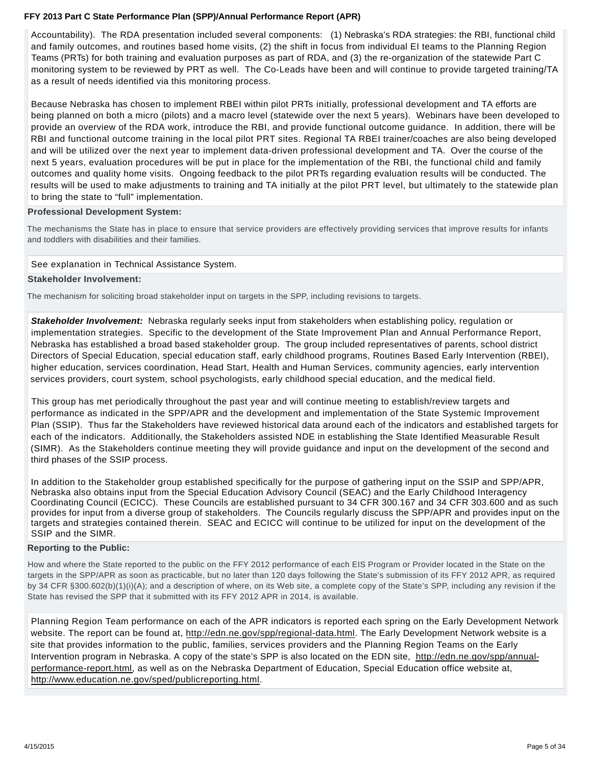Accountability). The RDA presentation included several components: (1) Nebraska's RDA strategies: the RBI, functional child and family outcomes, and routines based home visits, (2) the shift in focus from individual EI teams to the Planning Region Teams (PRTs) for both training and evaluation purposes as part of RDA, and (3) the re-organization of the statewide Part C monitoring system to be reviewed by PRT as well. The Co-Leads have been and will continue to provide targeted training/TA as a result of needs identified via this monitoring process.

Because Nebraska has chosen to implement RBEI within pilot PRTs initially, professional development and TA efforts are being planned on both a micro (pilots) and a macro level (statewide over the next 5 years). Webinars have been developed to provide an overview of the RDA work, introduce the RBI, and provide functional outcome guidance. In addition, there will be RBI and functional outcome training in the local pilot PRT sites. Regional TA RBEI trainer/coaches are also being developed and will be utilized over the next year to implement data-driven professional development and TA. Over the course of the next 5 years, evaluation procedures will be put in place for the implementation of the RBI, the functional child and family outcomes and quality home visits. Ongoing feedback to the pilot PRTs regarding evaluation results will be conducted. The results will be used to make adjustments to training and TA initially at the pilot PRT level, but ultimately to the statewide plan to bring the state to "full" implementation.

## **Professional Development System:**

The mechanisms the State has in place to ensure that service providers are effectively providing services that improve results for infants and toddlers with disabilities and their families.

### See explanation in Technical Assistance System.

#### **Stakeholder Involvement:**

The mechanism for soliciting broad stakeholder input on targets in the SPP, including revisions to targets.

**Stakeholder Involvement:** Nebraska regularly seeks input from stakeholders when establishing policy, regulation or implementation strategies. Specific to the development of the State Improvement Plan and Annual Performance Report, Nebraska has established a broad based stakeholder group. The group included representatives of parents, school district Directors of Special Education, special education staff, early childhood programs, Routines Based Early Intervention (RBEI), higher education, services coordination, Head Start, Health and Human Services, community agencies, early intervention services providers, court system, school psychologists, early childhood special education, and the medical field.

This group has met periodically throughout the past year and will continue meeting to establish/review targets and performance as indicated in the SPP/APR and the development and implementation of the State Systemic Improvement Plan (SSIP). Thus far the Stakeholders have reviewed historical data around each of the indicators and established targets for each of the indicators. Additionally, the Stakeholders assisted NDE in establishing the State Identified Measurable Result (SIMR). As the Stakeholders continue meeting they will provide guidance and input on the development of the second and third phases of the SSIP process.

In addition to the Stakeholder group established specifically for the purpose of gathering input on the SSIP and SPP/APR, Nebraska also obtains input from the Special Education Advisory Council (SEAC) and the Early Childhood Interagency Coordinating Council (ECICC). These Councils are established pursuant to 34 CFR 300.167 and 34 CFR 303.600 and as such provides for input from a diverse group of stakeholders. The Councils regularly discuss the SPP/APR and provides input on the targets and strategies contained therein. SEAC and ECICC will continue to be utilized for input on the development of the SSIP and the SIMR.

#### **Reporting to the Public:**

How and where the State reported to the public on the FFY 2012 performance of each EIS Program or Provider located in the State on the targets in the SPP/APR as soon as practicable, but no later than 120 days following the State's submission of its FFY 2012 APR, as required by 34 CFR §300.602(b)(1)(i)(A); and a description of where, on its Web site, a complete copy of the State's SPP, including any revision if the State has revised the SPP that it submitted with its FFY 2012 APR in 2014, is available.

Planning Region Team performance on each of the APR indicators is reported each spring on the Early Development Network website. The report can be found at, http://edn.ne.gov/spp/regional-data.html. The Early Development Network website is a site that provides information to the public, families, services providers and the Planning Region Teams on the Early Intervention program in Nebraska. A copy of the state's SPP is also located on the EDN site, http://edn.ne.gov/spp/annualperformance-report.html, as well as on the Nebraska Department of Education, Special Education office website at, http://www.education.ne.gov/sped/publicreporting.html.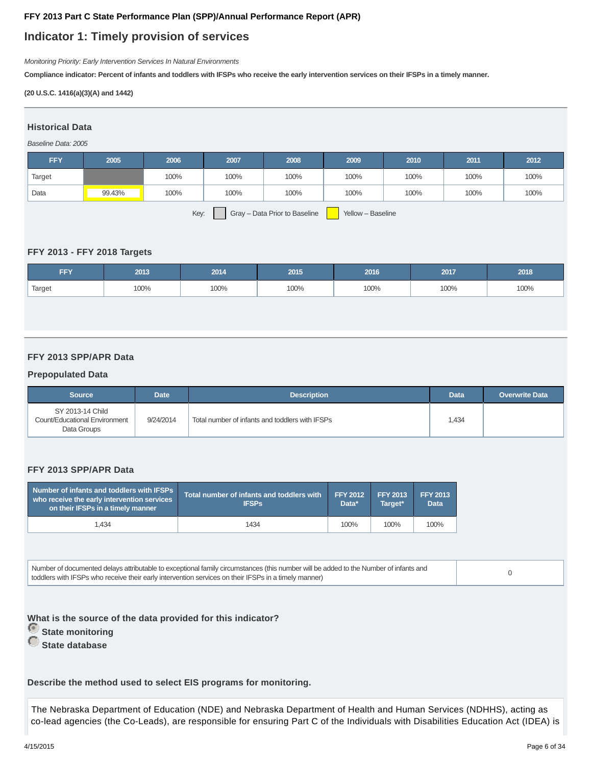## **Indicator 1: Timely provision of services**

Monitoring Priority: Early Intervention Services In Natural Environments

**Compliance indicator: Percent of infants and toddlers with IFSPs who receive the early intervention services on their IFSPs in a timely manner.**

## **(20 U.S.C. 1416(a)(3)(A) and 1442)**

# **Historical Data**

## Baseline Data: 2005

| <b>FFY</b> | 2005   | 2006 | 2007 | 2008                          | 2009              | 2010 | 2011 | 2012 |
|------------|--------|------|------|-------------------------------|-------------------|------|------|------|
| Target     |        | 100% | 100% | 100%                          | 100%              | 100% | 100% | 100% |
| Data       | 99.43% | 100% | 100% | 100%                          | 100%              | 100% | 100% | 100% |
|            |        | Key: |      | Gray - Data Prior to Baseline | Yellow - Baseline |      |      |      |

**FFY 2013 - FFY 2018 Targets**

| FFY    | 2013 | 2014 | 2015 | 2016 | 2017 | 2018 |
|--------|------|------|------|------|------|------|
| Target | 100% | 100% | 100% | 100% | 100% | 100% |

## **FFY 2013 SPP/APR Data**

## **Prepopulated Data**

| <b>Source</b>                                                    | <b>Date</b> | <b>Description</b>                              | <b>Data</b> | <b>Overwrite Data</b> |
|------------------------------------------------------------------|-------------|-------------------------------------------------|-------------|-----------------------|
| SY 2013-14 Child<br>Count/Educational Environment<br>Data Groups | 9/24/2014   | Total number of infants and toddlers with IFSPs | 1.434       |                       |

## **FFY 2013 SPP/APR Data**

| Number of infants and toddlers with IFSPs<br>who receive the early intervention services<br>on their IFSPs in a timely manner | Total number of infants and toddlers with<br><b>IFSPs</b> | FFY 2012<br>Data* | <b>FFY 2013</b><br>Target* | <b>FFY 2013</b><br><b>Data</b> |
|-------------------------------------------------------------------------------------------------------------------------------|-----------------------------------------------------------|-------------------|----------------------------|--------------------------------|
| 1.434                                                                                                                         | 1434                                                      | 100%              | 100%                       | 100%                           |

| Number of documented delays attributable to exceptional family circumstances (this number will be added to the Number of infants and |  |
|--------------------------------------------------------------------------------------------------------------------------------------|--|
| toddlers with IFSPs who receive their early intervention services on their IFSPs in a timely manner)                                 |  |

**What is the source of the data provided for this indicator? State monitoring State database**

**Describe the method used to select EIS programs for monitoring.**

The Nebraska Department of Education (NDE) and Nebraska Department of Health and Human Services (NDHHS), acting as co-lead agencies (the Co-Leads), are responsible for ensuring Part C of the Individuals with Disabilities Education Act (IDEA) is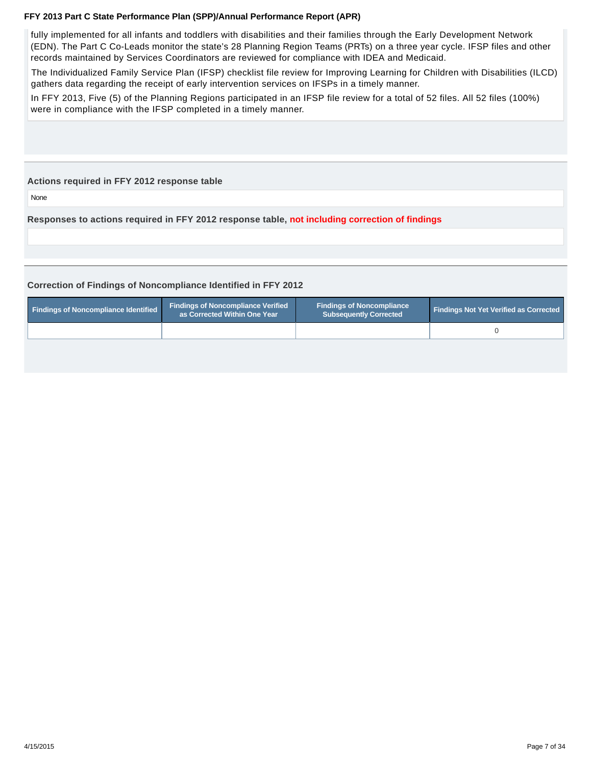fully implemented for all infants and toddlers with disabilities and their families through the Early Development Network (EDN). The Part C Co-Leads monitor the state's 28 Planning Region Teams (PRTs) on a three year cycle. IFSP files and other records maintained by Services Coordinators are reviewed for compliance with IDEA and Medicaid.

The Individualized Family Service Plan (IFSP) checklist file review for Improving Learning for Children with Disabilities (ILCD) gathers data regarding the receipt of early intervention services on IFSPs in a timely manner.

In FFY 2013, Five (5) of the Planning Regions participated in an IFSP file review for a total of 52 files. All 52 files (100%) were in compliance with the IFSP completed in a timely manner.

### **Actions required in FFY 2012 response table**

None

**Responses to actions required in FFY 2012 response table, not including correction of findings**

## **Correction of Findings of Noncompliance Identified in FFY 2012**

| <b>Findings of Noncompliance Identified</b> | <b>Findings of Noncompliance Verified</b><br>as Corrected Within One Year | <b>Findings of Noncompliance</b><br>Subsequently Corrected | <b>Findings Not Yet Verified as Corrected</b> |
|---------------------------------------------|---------------------------------------------------------------------------|------------------------------------------------------------|-----------------------------------------------|
|                                             |                                                                           |                                                            |                                               |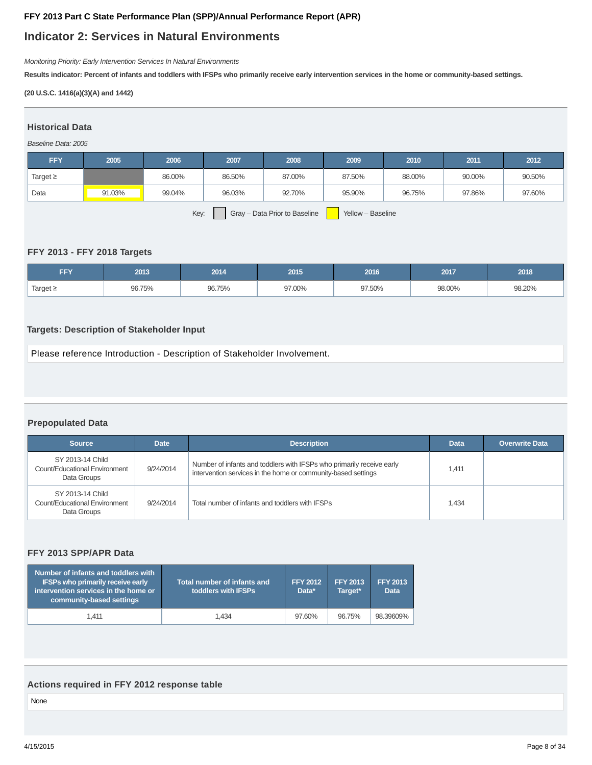## **Indicator 2: Services in Natural Environments**

Monitoring Priority: Early Intervention Services In Natural Environments

**Results indicator: Percent of infants and toddlers with IFSPs who primarily receive early intervention services in the home or community-based settings.**

## **(20 U.S.C. 1416(a)(3)(A) and 1442)**

# **Historical Data**

## Baseline Data: 2005

| <b>FFY</b>    | 2005   | 2006   | 2007   | 2008                          | 2009              | 2010   | 2011   | 2012   |
|---------------|--------|--------|--------|-------------------------------|-------------------|--------|--------|--------|
| Target $\geq$ |        | 86.00% | 86.50% | 87.00%                        | 87.50%            | 88.00% | 90.00% | 90.50% |
| Data          | 91.03% | 99.04% | 96.03% | 92.70%                        | 95.90%            | 96.75% | 97.86% | 97.60% |
|               |        | Key:   |        | Gray - Data Prior to Baseline | Yellow - Baseline |        |        |        |

## **FFY 2013 - FFY 2018 Targets**

| FFY           | 2013   | 2014   | 2015   | 2016   | 2017   | 2018   |
|---------------|--------|--------|--------|--------|--------|--------|
| Target $\geq$ | 96.75% | 96.75% | 97.00% | 97.50% | 98.00% | 98.20% |

## **Targets: Description of Stakeholder Input**

Please reference Introduction - Description of Stakeholder Involvement.

## **Prepopulated Data**

| <b>Source</b>                                                    | <b>Description</b><br><b>Date</b> |                                                                                                                                        | <b>Data</b> | <b>Overwrite Data</b> |
|------------------------------------------------------------------|-----------------------------------|----------------------------------------------------------------------------------------------------------------------------------------|-------------|-----------------------|
| SY 2013-14 Child<br>Count/Educational Environment<br>Data Groups | 9/24/2014                         | Number of infants and toddlers with IFSPs who primarily receive early<br>intervention services in the home or community-based settings | 1.411       |                       |
| SY 2013-14 Child<br>Count/Educational Environment<br>Data Groups | 9/24/2014                         | Total number of infants and toddlers with IFSPs                                                                                        | 1,434       |                       |

## **FFY 2013 SPP/APR Data**

| Number of infants and toddlers with<br><b>IFSPs who primarily receive early</b><br>intervention services in the home or<br>community-based settings | <b>Total number of infants and</b><br>toddlers with IFSPs | <b>FFY 2012</b><br>Data* | <b>FFY 2013</b><br>Target* | <b>FFY 2013</b><br><b>Data</b> |
|-----------------------------------------------------------------------------------------------------------------------------------------------------|-----------------------------------------------------------|--------------------------|----------------------------|--------------------------------|
| 1.411                                                                                                                                               | 1.434                                                     | 97.60%                   | 96.75%                     | 98.39609%                      |

## **Actions required in FFY 2012 response table**

None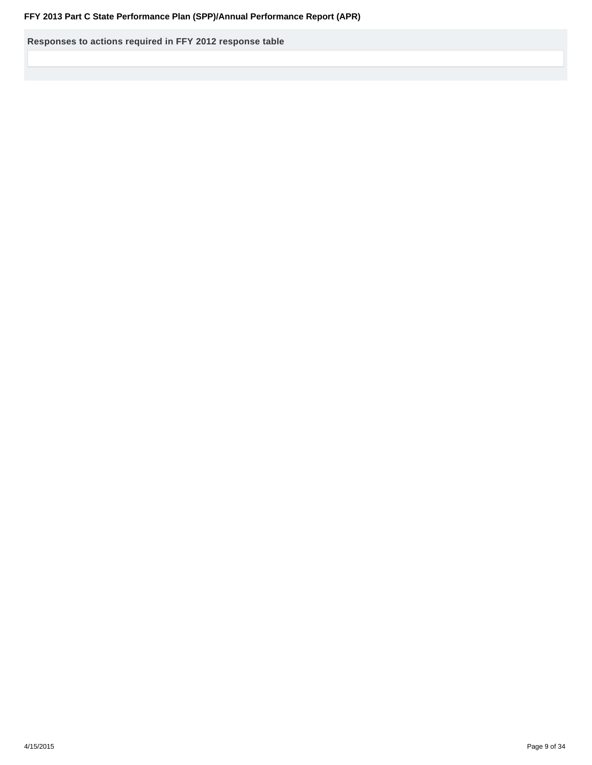**Responses to actions required in FFY 2012 response table**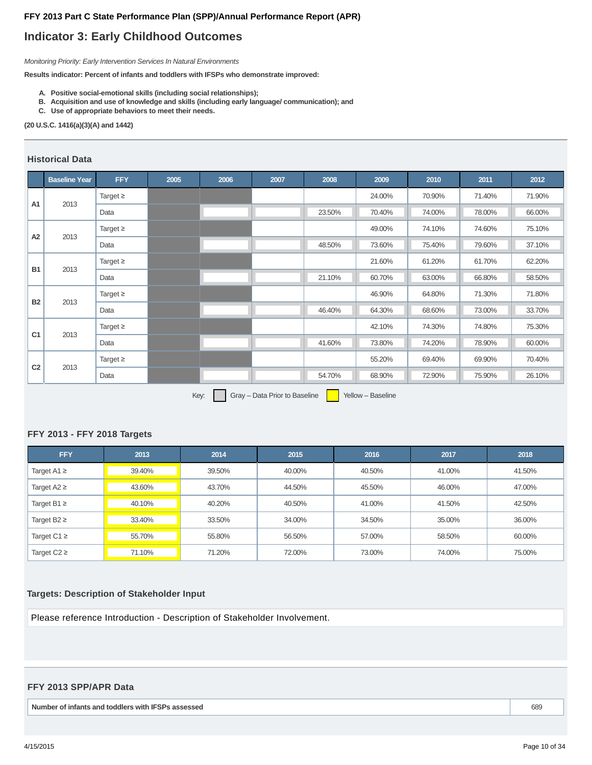## **Indicator 3: Early Childhood Outcomes**

Monitoring Priority: Early Intervention Services In Natural Environments

**Results indicator: Percent of infants and toddlers with IFSPs who demonstrate improved:**

- **A. Positive social-emotional skills (including social relationships);**
- **B. Acquisition and use of knowledge and skills (including early language/ communication); and**
- **C. Use of appropriate behaviors to meet their needs.**

#### **(20 U.S.C. 1416(a)(3)(A) and 1442)**

## **Historical Data**

|                | <b>Baseline Year</b> | <b>FFY</b>    | 2005 | 2006 | 2007 | 2008            | 2009   | 2010   | 2011   | 2012   |
|----------------|----------------------|---------------|------|------|------|-----------------|--------|--------|--------|--------|
| A1             |                      | Target $\geq$ |      |      |      |                 | 24.00% | 70.90% | 71.40% | 71.90% |
|                | 2013                 | Data          |      |      |      | 23.50%          | 70.40% | 74.00% | 78.00% | 66.00% |
| A <sub>2</sub> | 2013                 | Target $\geq$ |      |      |      |                 | 49.00% | 74.10% | 74.60% | 75.10% |
|                |                      | Data          |      |      |      | 48.50%          | 73.60% | 75.40% | 79.60% | 37.10% |
| <b>B1</b>      | 2013                 | Target $\geq$ |      |      |      |                 | 21.60% | 61.20% | 61.70% | 62.20% |
|                |                      | Data          |      |      |      | 21.10%          | 60.70% | 63.00% | 66.80% | 58.50% |
| <b>B2</b>      | 2013                 | Target $\geq$ |      |      |      |                 | 46.90% | 64.80% | 71.30% | 71.80% |
|                |                      | Data          |      |      |      | 46.40%          | 64.30% | 68.60% | 73.00% | 33.70% |
| C <sub>1</sub> | 2013                 | Target $\geq$ |      |      |      |                 | 42.10% | 74.30% | 74.80% | 75.30% |
|                |                      | Data          |      |      |      | 41.60%          | 73.80% | 74.20% | 78.90% | 60.00% |
|                |                      | Target $\geq$ |      |      |      |                 | 55.20% | 69.40% | 69.90% | 70.40% |
|                |                      | Data          |      |      |      | 54.70%          | 68.90% | 72.90% | 75.90% | 26.10% |
| C <sub>2</sub> | 2013                 |               |      |      |      | <u>a sa san</u> |        |        |        |        |

Key:  $Gray - Data Prior to Baseline$  Yellow – Baseline

## **FFY 2013 - FFY 2018 Targets**

| <b>FFY</b>       | 2013   | 2014   | 2015   | 2016   | 2017   | 2018   |
|------------------|--------|--------|--------|--------|--------|--------|
| Target A1 $\geq$ | 39.40% | 39.50% | 40.00% | 40.50% | 41.00% | 41.50% |
| Target $A2 \geq$ | 43.60% | 43.70% | 44.50% | 45.50% | 46.00% | 47.00% |
| Target B1 $\geq$ | 40.10% | 40.20% | 40.50% | 41.00% | 41.50% | 42.50% |
| Target B2 $\geq$ | 33.40% | 33.50% | 34.00% | 34.50% | 35.00% | 36.00% |
| Target C1 $\geq$ | 55.70% | 55.80% | 56.50% | 57.00% | 58.50% | 60.00% |
| Target $C2 \geq$ | 71.10% | 71.20% | 72.00% | 73.00% | 74.00% | 75.00% |

#### **Targets: Description of Stakeholder Input**

Please reference Introduction - Description of Stakeholder Involvement.

## **FFY 2013 SPP/APR Data**

**Number of infants and toddlers with IFSPs assessed** 689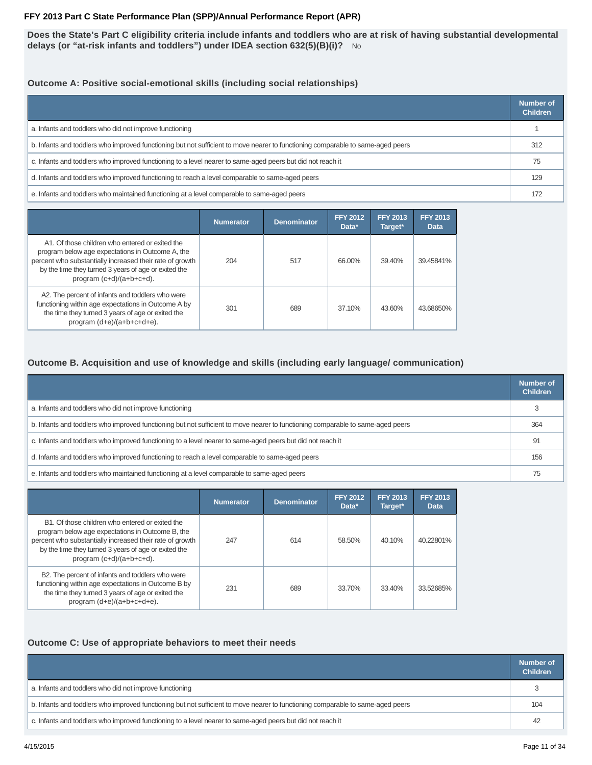**Does the State's Part C eligibility criteria include infants and toddlers who are at risk of having substantial developmental delays (or "at-risk infants and toddlers") under IDEA section 632(5)(B)(i)?** No

## **Outcome A: Positive social-emotional skills (including social relationships)**

|                                                                                                                                 | Number of<br><b>Children</b> |
|---------------------------------------------------------------------------------------------------------------------------------|------------------------------|
| a. Infants and toddlers who did not improve functioning                                                                         |                              |
| b. Infants and toddlers who improved functioning but not sufficient to move nearer to functioning comparable to same-aged peers | 312                          |
| c. Infants and toddlers who improved functioning to a level nearer to same-aged peers but did not reach it                      | 75                           |
| d. Infants and toddlers who improved functioning to reach a level comparable to same-aged peers                                 | 129                          |
| e. Infants and toddlers who maintained functioning at a level comparable to same-aged peers                                     | 172                          |

|                                                                                                                                                                                                                                                     | <b>Numerator</b> | <b>Denominator</b> | <b>FFY 2012</b><br>Data* | <b>FFY 2013</b><br>Target* | <b>FFY 2013</b><br><b>Data</b> |
|-----------------------------------------------------------------------------------------------------------------------------------------------------------------------------------------------------------------------------------------------------|------------------|--------------------|--------------------------|----------------------------|--------------------------------|
| A1. Of those children who entered or exited the<br>program below age expectations in Outcome A, the<br>percent who substantially increased their rate of growth<br>by the time they turned 3 years of age or exited the<br>program (c+d)/(a+b+c+d). | 204              | 517                | 66.00%                   | 39.40%                     | 39.45841%                      |
| A2. The percent of infants and toddlers who were<br>functioning within age expectations in Outcome A by<br>the time they turned 3 years of age or exited the<br>program $(d+e)/(a+b+c+d+e)$ .                                                       | 301              | 689                | 37.10%                   | 43.60%                     | 43.68650%                      |

## **Outcome B. Acquisition and use of knowledge and skills (including early language/ communication)**

|                                                                                                                                 | Number of<br><b>Children</b> |
|---------------------------------------------------------------------------------------------------------------------------------|------------------------------|
| a. Infants and toddlers who did not improve functioning                                                                         |                              |
| b. Infants and toddlers who improved functioning but not sufficient to move nearer to functioning comparable to same-aged peers | 364                          |
| c. Infants and toddlers who improved functioning to a level nearer to same-aged peers but did not reach it                      | 91                           |
| d. Infants and toddlers who improved functioning to reach a level comparable to same-aged peers                                 | 156                          |
| e. Infants and toddlers who maintained functioning at a level comparable to same-aged peers                                     |                              |

|                                                                                                                                                                                                                                                     | <b>Numerator</b> | <b>Denominator</b> | <b>FFY 2012</b><br>Data* | <b>FFY 2013</b><br>Target* | <b>FFY 2013</b><br><b>Data</b> |
|-----------------------------------------------------------------------------------------------------------------------------------------------------------------------------------------------------------------------------------------------------|------------------|--------------------|--------------------------|----------------------------|--------------------------------|
| B1. Of those children who entered or exited the<br>program below age expectations in Outcome B, the<br>percent who substantially increased their rate of growth<br>by the time they turned 3 years of age or exited the<br>program (c+d)/(a+b+c+d). | 247              | 614                | 58.50%                   | 40.10%                     | 40.22801%                      |
| B2. The percent of infants and toddlers who were<br>functioning within age expectations in Outcome B by<br>the time they turned 3 years of age or exited the<br>program (d+e)/(a+b+c+d+e).                                                          | 231              | 689                | 33.70%                   | 33.40%                     | 33.52685%                      |

## **Outcome C: Use of appropriate behaviors to meet their needs**

|                                                                                                                                 | Number of<br><b>Children</b> |
|---------------------------------------------------------------------------------------------------------------------------------|------------------------------|
| a. Infants and toddlers who did not improve functioning                                                                         |                              |
| b. Infants and toddlers who improved functioning but not sufficient to move nearer to functioning comparable to same-aged peers | 104                          |
| c. Infants and toddlers who improved functioning to a level nearer to same-aged peers but did not reach it                      | 42                           |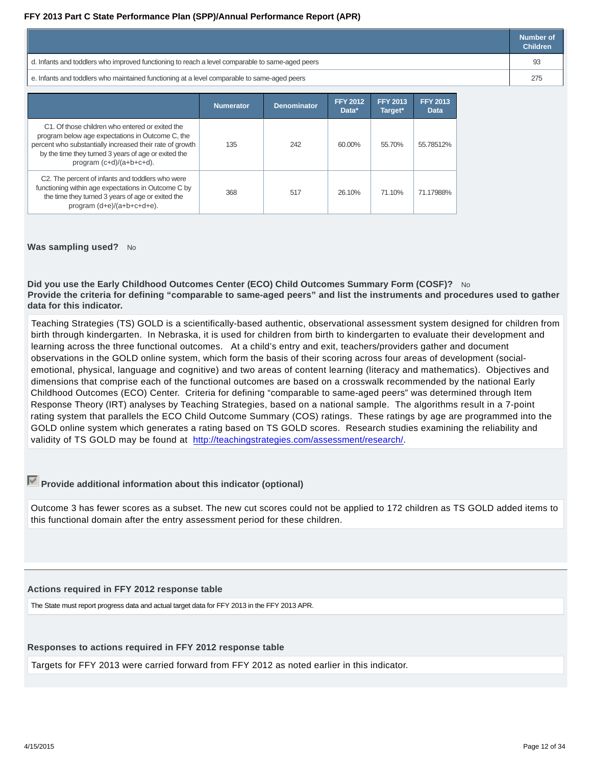|                                                                                                 | Number of<br><b>Children</b> |
|-------------------------------------------------------------------------------------------------|------------------------------|
| d. Infants and toddlers who improved functioning to reach a level comparable to same-aged peers |                              |
| e. Infants and toddlers who maintained functioning at a level comparable to same-aged peers     |                              |

|                                                                                                                                                                                                                                                        | <b>Numerator</b> | <b>Denominator</b> | <b>FFY 2012</b><br>Data* | <b>FFY 2013</b><br>Target* | <b>FFY 2013</b><br><b>Data</b> |
|--------------------------------------------------------------------------------------------------------------------------------------------------------------------------------------------------------------------------------------------------------|------------------|--------------------|--------------------------|----------------------------|--------------------------------|
| C1. Of those children who entered or exited the<br>program below age expectations in Outcome C, the<br>percent who substantially increased their rate of growth<br>by the time they turned 3 years of age or exited the<br>program $(c+d)/(a+b+c+d)$ . | 135              | 242                | 60.00%                   | 55.70%                     | 55.78512%                      |
| C2. The percent of infants and toddlers who were<br>functioning within age expectations in Outcome C by<br>the time they turned 3 years of age or exited the<br>program (d+e)/(a+b+c+d+e).                                                             | 368              | 517                | 26.10%                   | 71.10%                     | 71.17988%                      |

## **Was sampling used?** No

**Did you use the Early Childhood Outcomes Center (ECO) Child Outcomes Summary Form (COSF)?** No **Provide the criteria for defining "comparable to same-aged peers" and list the instruments and procedures used to gather data for this indicator.**

Teaching Strategies (TS) GOLD is a scientifically-based authentic, observational assessment system designed for children from birth through kindergarten. In Nebraska, it is used for children from birth to kindergarten to evaluate their development and learning across the three functional outcomes. At a child's entry and exit, teachers/providers gather and document observations in the GOLD online system, which form the basis of their scoring across four areas of development (socialemotional, physical, language and cognitive) and two areas of content learning (literacy and mathematics). Objectives and dimensions that comprise each of the functional outcomes are based on a crosswalk recommended by the national Early Childhood Outcomes (ECO) Center. Criteria for defining "comparable to same-aged peers" was determined through Item Response Theory (IRT) analyses by Teaching Strategies, based on a national sample. The algorithms result in a 7-point rating system that parallels the ECO Child Outcome Summary (COS) ratings. These ratings by age are programmed into the GOLD online system which generates a rating based on TS GOLD scores. Research studies examining the reliability and validity of TS GOLD may be found at http://teachingstrategies.com/assessment/research/.

## **Provide additional information about this indicator (optional)**

Outcome 3 has fewer scores as a subset. The new cut scores could not be applied to 172 children as TS GOLD added items to this functional domain after the entry assessment period for these children.

## **Actions required in FFY 2012 response table**

The State must report progress data and actual target data for FFY 2013 in the FFY 2013 APR.

## **Responses to actions required in FFY 2012 response table**

Targets for FFY 2013 were carried forward from FFY 2012 as noted earlier in this indicator.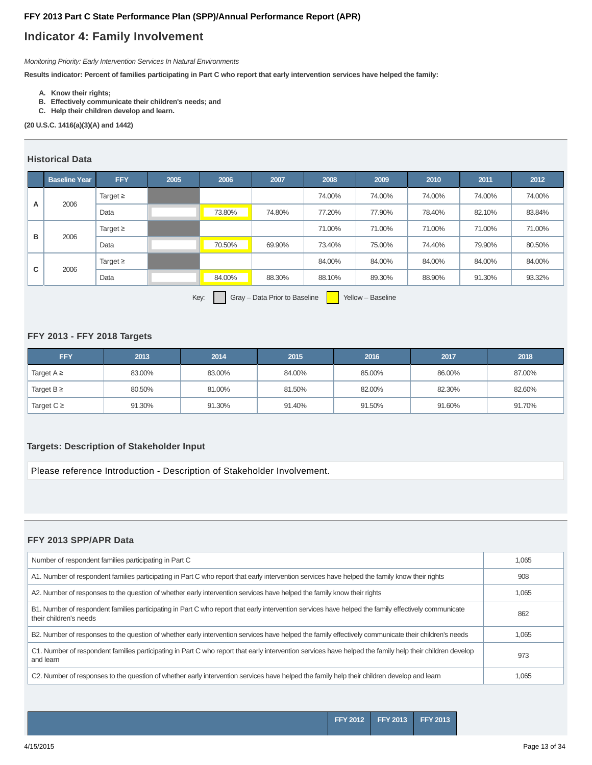## **Indicator 4: Family Involvement**

Monitoring Priority: Early Intervention Services In Natural Environments

**Results indicator: Percent of families participating in Part C who report that early intervention services have helped the family:**

- **A. Know their rights;**
- **B. Effectively communicate their children's needs; and**
- **C. Help their children develop and learn.**

#### **(20 U.S.C. 1416(a)(3)(A) and 1442)**

## **Historical Data**

|   | <b>Baseline Year</b> | <b>FFY</b>    | 2005 | 2006                     | 2007   | 2008                                                                                                           | 2009   | 2010   | 2011   | 2012   |
|---|----------------------|---------------|------|--------------------------|--------|----------------------------------------------------------------------------------------------------------------|--------|--------|--------|--------|
|   |                      | Target $\geq$ |      |                          |        | 74.00%                                                                                                         | 74.00% | 74.00% | 74.00% | 74.00% |
| A | 2006                 | Data          |      | 73.80%                   | 74.80% | 77.20%                                                                                                         | 77.90% | 78.40% | 82.10% | 83.84% |
| в |                      | Target $\geq$ |      |                          |        | 71.00%                                                                                                         | 71.00% | 71.00% | 71.00% | 71.00% |
|   | 2006                 | Data          |      | 70.50%                   | 69.90% | 73.40%                                                                                                         | 75.00% | 74.40% | 79.90% | 80.50% |
|   |                      | Target $\geq$ |      |                          |        | 84.00%                                                                                                         | 84.00% | 84.00% | 84.00% | 84.00% |
| C | 2006                 | Data          |      | 84.00%                   | 88.30% | 88.10%                                                                                                         | 89.30% | 88.90% | 91.30% | 93.32% |
|   |                      |               |      | $\overline{\phantom{0}}$ |        | and the state of the state of the state of the state of the state of the state of the state of the state of th |        |        |        |        |

Key: Gray – Data Prior to Baseline Yellow – Baseline

## **FFY 2013 - FFY 2018 Targets**

| <b>FFY</b>      | 2013   | 2014   | 2015   | 2016   | 2017   | 2018   |
|-----------------|--------|--------|--------|--------|--------|--------|
| Target $A \geq$ | 83.00% | 83.00% | 84.00% | 85.00% | 86.00% | 87.00% |
| Target $B \geq$ | 80.50% | 81.00% | 81.50% | 82.00% | 82.30% | 82.60% |
| Target $C \geq$ | 91.30% | 91.30% | 91.40% | 91.50% | 91.60% | 91.70% |

## **Targets: Description of Stakeholder Input**

Please reference Introduction - Description of Stakeholder Involvement.

## **FFY 2013 SPP/APR Data**

| Number of respondent families participating in Part C                                                                                                                          | 1,065 |
|--------------------------------------------------------------------------------------------------------------------------------------------------------------------------------|-------|
| A1. Number of respondent families participating in Part C who report that early intervention services have helped the family know their rights                                 | 908   |
| A2. Number of responses to the question of whether early intervention services have helped the family know their rights                                                        | 1,065 |
| B1. Number of respondent families participating in Part C who report that early intervention services have helped the family effectively communicate<br>their children's needs | 862   |
| B2. Number of responses to the question of whether early intervention services have helped the family effectively communicate their children's needs                           | 1,065 |
| C1. Number of respondent families participating in Part C who report that early intervention services have helped the family help their children develop<br>and learn          | 973   |
| C2. Number of responses to the question of whether early intervention services have helped the family help their children develop and learn                                    | 1,065 |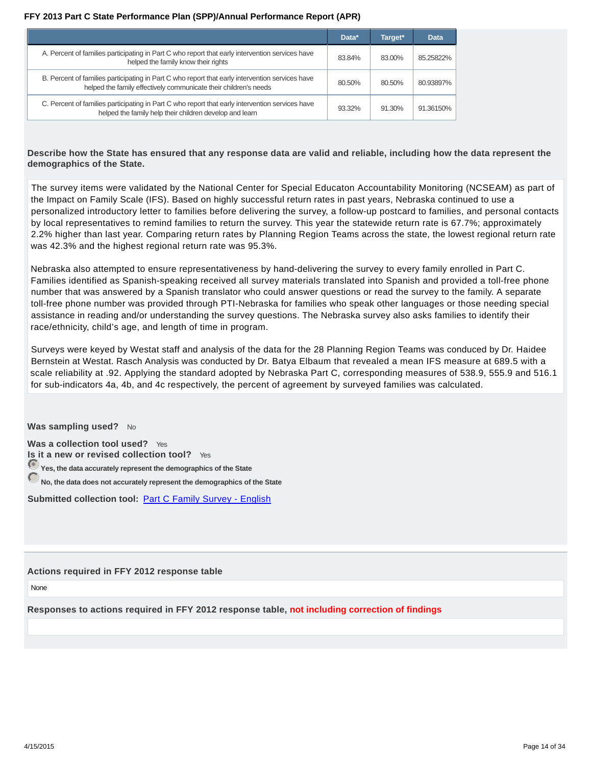|                                                                                                                                                                     | Data*  | Target* | Data      |
|---------------------------------------------------------------------------------------------------------------------------------------------------------------------|--------|---------|-----------|
| A. Percent of families participating in Part C who report that early intervention services have<br>helped the family know their rights                              | 83.84% | 83.00%  | 85.25822% |
| B. Percent of families participating in Part C who report that early intervention services have<br>helped the family effectively communicate their children's needs | 80.50% | 80.50%  | 80.93897% |
| C. Percent of families participating in Part C who report that early intervention services have<br>helped the family help their children develop and learn          | 93.32% | 91.30%  | 91.36150% |

## **Describe how the State has ensured that any response data are valid and reliable, including how the data represent the demographics of the State.**

The survey items were validated by the National Center for Special Educaton Accountability Monitoring (NCSEAM) as part of the Impact on Family Scale (IFS). Based on highly successful return rates in past years, Nebraska continued to use a personalized introductory letter to families before delivering the survey, a follow-up postcard to families, and personal contacts by local representatives to remind families to return the survey. This year the statewide return rate is 67.7%; approximately 2.2% higher than last year. Comparing return rates by Planning Region Teams across the state, the lowest regional return rate was 42.3% and the highest regional return rate was 95.3%.

Nebraska also attempted to ensure representativeness by hand-delivering the survey to every family enrolled in Part C. Families identified as Spanish-speaking received all survey materials translated into Spanish and provided a toll-free phone number that was answered by a Spanish translator who could answer questions or read the survey to the family. A separate toll-free phone number was provided through PTI-Nebraska for families who speak other languages or those needing special assistance in reading and/or understanding the survey questions. The Nebraska survey also asks families to identify their race/ethnicity, child's age, and length of time in program.

Surveys were keyed by Westat staff and analysis of the data for the 28 Planning Region Teams was conduced by Dr. Haidee Bernstein at Westat. Rasch Analysis was conducted by Dr. Batya Elbaum that revealed a mean IFS measure at 689.5 with a scale reliability at .92. Applying the standard adopted by Nebraska Part C, corresponding measures of 538.9, 555.9 and 516.1 for sub-indicators 4a, 4b, and 4c respectively, the percent of agreement by surveyed families was calculated.

**Was sampling used?** No

**Was a collection tool used?** Yes **Is it a new or revised collection tool?** Yes **Yes, the data accurately represent the demographics of the State**

**No, the data does not accurately represent the demographics of the State**

**Submitted collection tool:** Part C Family Survey - English

## **Actions required in FFY 2012 response table**

None

**Responses to actions required in FFY 2012 response table, not including correction of findings**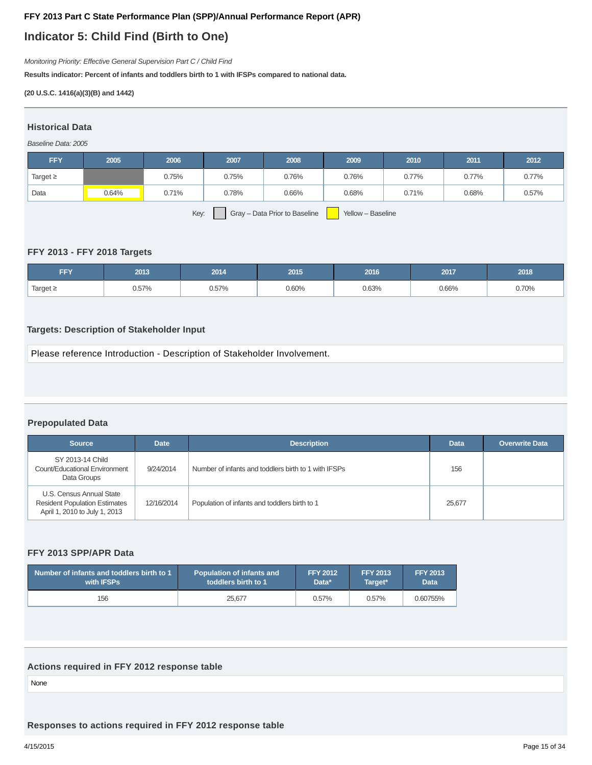## **Indicator 5: Child Find (Birth to One)**

Monitoring Priority: Effective General Supervision Part C / Child Find

**Results indicator: Percent of infants and toddlers birth to 1 with IFSPs compared to national data.**

### **(20 U.S.C. 1416(a)(3)(B) and 1442)**

## **Historical Data**

## Baseline Data: 2005

| <b>FFY</b>                                                 | 2005  | 2006  | 2007  | 2008  | 2009  | 2010  | 2011  | 2012  |
|------------------------------------------------------------|-------|-------|-------|-------|-------|-------|-------|-------|
| Target $\geq$                                              |       | 0.75% | 0.75% | 0.76% | 0.76% | 0.77% | 0.77% | 0.77% |
| Data                                                       | 0.64% | 0.71% | 0.78% | 0.66% | 0.68% | 0.71% | 0.68% | 0.57% |
| Key:<br>Gray - Data Prior to Baseline<br>Yellow - Baseline |       |       |       |       |       |       |       |       |

### **FFY 2013 - FFY 2018 Targets**

| FFY           | 2013  | 2014  | 2015  | 2016  | 2017  | 2018  |
|---------------|-------|-------|-------|-------|-------|-------|
| Target $\geq$ | 0.57% | 0.57% | 0.60% | 0.63% | 0.66% | 0.70% |

## **Targets: Description of Stakeholder Input**

Please reference Introduction - Description of Stakeholder Involvement.

## **Prepopulated Data**

| <b>Source</b>                                                                                     | <b>Date</b> | <b>Description</b>                                   | <b>Data</b> | <b>Overwrite Data</b> |
|---------------------------------------------------------------------------------------------------|-------------|------------------------------------------------------|-------------|-----------------------|
| SY 2013-14 Child<br>Count/Educational Environment<br>Data Groups                                  | 9/24/2014   | Number of infants and toddlers birth to 1 with IFSPs | 156         |                       |
| U.S. Census Annual State<br><b>Resident Population Estimates</b><br>April 1, 2010 to July 1, 2013 | 12/16/2014  | Population of infants and toddlers birth to 1        | 25,677      |                       |

## **FFY 2013 SPP/APR Data**

| Number of infants and toddlers birth to 1 | <b>Population of infants and</b> | <b>FFY 2012</b> | <b>FFY 2013</b> | <b>FFY 2013</b> |
|-------------------------------------------|----------------------------------|-----------------|-----------------|-----------------|
| with <b>IFSPs</b>                         | toddlers birth to 1              | Data*           | Target*         | <b>Data</b>     |
| 156                                       | 25.677                           | 0.57%           | 0.57%           | 0.60755%        |

## **Actions required in FFY 2012 response table**

None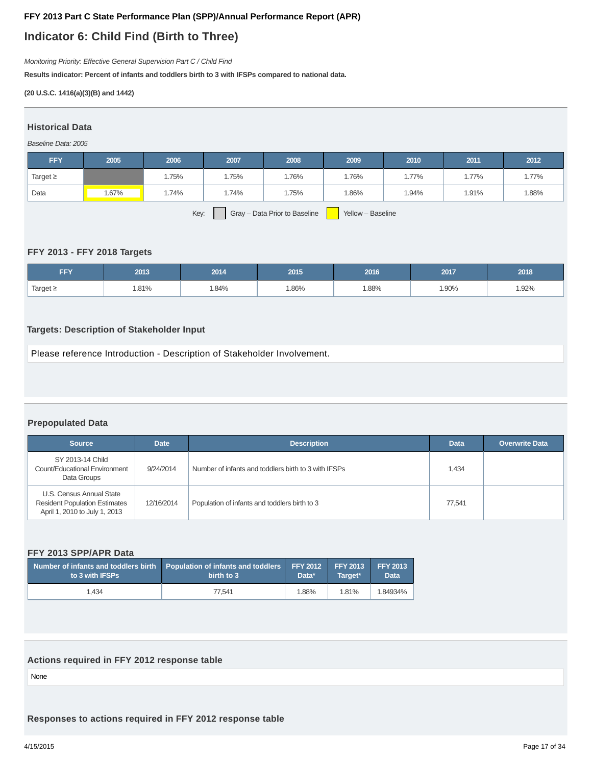## **Indicator 6: Child Find (Birth to Three)**

Monitoring Priority: Effective General Supervision Part C / Child Find

**Results indicator: Percent of infants and toddlers birth to 3 with IFSPs compared to national data.**

### **(20 U.S.C. 1416(a)(3)(B) and 1442)**

## **Historical Data**

## Baseline Data: 2005

| <b>FFY</b>    | 2005  | 2006  | 2007  | 2008                          | 2009              | 2010  | 2011  | 2012  |
|---------------|-------|-------|-------|-------------------------------|-------------------|-------|-------|-------|
| Target $\geq$ |       | 1.75% | 1.75% | 1.76%                         | 1.76%             | 1.77% | 1.77% | 1.77% |
| Data          | 1.67% | 1.74% | 1.74% | 1.75%                         | 1.86%             | 1.94% | 1.91% | 1.88% |
|               |       | Key:  |       | Gray - Data Prior to Baseline | Yellow - Baseline |       |       |       |

### **FFY 2013 - FFY 2018 Targets**

| FFY           | 2013  | 2014 | 2015 | 2016  | 2017  | 2018 |
|---------------|-------|------|------|-------|-------|------|
| Target $\geq$ | 1.81% | .84% | .86% | 1.88% | 1.90% | .92% |

## **Targets: Description of Stakeholder Input**

Please reference Introduction - Description of Stakeholder Involvement.

## **Prepopulated Data**

| <b>Source</b>                                                                                     | <b>Date</b> | <b>Description</b>                                   | <b>Data</b> | <b>Overwrite Data</b> |
|---------------------------------------------------------------------------------------------------|-------------|------------------------------------------------------|-------------|-----------------------|
| SY 2013-14 Child<br>Count/Educational Environment<br>Data Groups                                  | 9/24/2014   | Number of infants and toddlers birth to 3 with IFSPs | 1,434       |                       |
| U.S. Census Annual State<br><b>Resident Population Estimates</b><br>April 1, 2010 to July 1, 2013 | 12/16/2014  | Population of infants and toddlers birth to 3        | 77.541      |                       |

### **FFY 2013 SPP/APR Data**

| Number of infants and toddlers birth Population of infants and toddlers FFY 2012 FFY 2013<br>to 3 with IFSPs | birth to 3 | Data* | Target* | FFY 2013<br><b>Data</b> |
|--------------------------------------------------------------------------------------------------------------|------------|-------|---------|-------------------------|
| 1.434                                                                                                        | 77.541     | 1.88% | 1.81%   | 1.84934%                |

## **Actions required in FFY 2012 response table**

None

**Responses to actions required in FFY 2012 response table**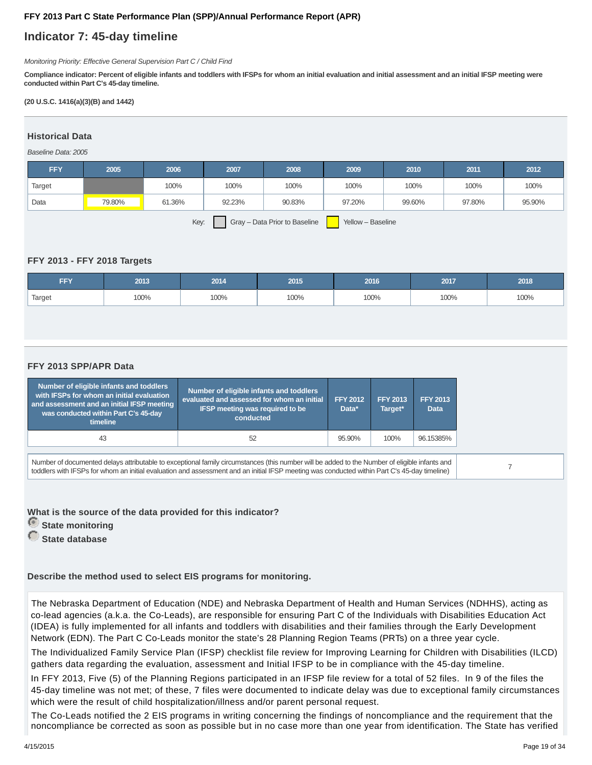## **Indicator 7: 45-day timeline**

Monitoring Priority: Effective General Supervision Part C / Child Find

**Compliance indicator: Percent of eligible infants and toddlers with IFSPs for whom an initial evaluation and initial assessment and an initial IFSP meeting were conducted within Part C's 45-day timeline.**

### **(20 U.S.C. 1416(a)(3)(B) and 1442)**

## **Historical Data**

Baseline Data: 2005

| <b>FFY</b> | 2005   | 2006   | 2007   | 2008   | 2009                     | 2010   | 2011   | 2012   |
|------------|--------|--------|--------|--------|--------------------------|--------|--------|--------|
| Target     |        | 100%   | 100%   | 100%   | 100%                     | 100%   | 100%   | 100%   |
| Data       | 79.80% | 61.36% | 92.23% | 90.83% | 97.20%                   | 99.60% | 97.80% | 95.90% |
|            |        |        | $\sim$ |        | $\overline{\phantom{a}}$ |        |        |        |

Key: Gray – Data Prior to Baseline Yellow – Baseline

## **FFY 2013 - FFY 2018 Targets**

| FFY    | 2013 | 2014 | 2015 | 2016 | 2017 | 2018 |
|--------|------|------|------|------|------|------|
| Target | 100% | 100% | 100% | 100% | 100% | 100% |

## **FFY 2013 SPP/APR Data**

| Number of eligible infants and toddlers<br>with IFSPs for whom an initial evaluation<br>and assessment and an initial IFSP meeting<br>was conducted within Part C's 45-day<br>timeline | Number of eligible infants and toddlers<br>evaluated and assessed for whom an initial<br><b>IFSP meeting was required to be</b><br>conducted                                                                                                                                                  | <b>FFY 2012</b><br>Data* | <b>FFY 2013</b><br>Target* | <b>FFY 2013</b><br>Data |
|----------------------------------------------------------------------------------------------------------------------------------------------------------------------------------------|-----------------------------------------------------------------------------------------------------------------------------------------------------------------------------------------------------------------------------------------------------------------------------------------------|--------------------------|----------------------------|-------------------------|
| 43                                                                                                                                                                                     | 52                                                                                                                                                                                                                                                                                            | 95.90%                   | 100%                       | 96.15385%               |
|                                                                                                                                                                                        | Number of documented delays attributable to exceptional family circumstances (this number will be added to the Number of eligible infants and<br>toddlers with IFSPs for whom an initial evaluation and assessment and an initial IFSP meeting was conducted within Part C's 45-day timeline) |                          |                            |                         |

**What is the source of the data provided for this indicator?**

*<u>State monitoring</u>* 

 **State database**

**Describe the method used to select EIS programs for monitoring.**

The Nebraska Department of Education (NDE) and Nebraska Department of Health and Human Services (NDHHS), acting as co-lead agencies (a.k.a. the Co-Leads), are responsible for ensuring Part C of the Individuals with Disabilities Education Act (IDEA) is fully implemented for all infants and toddlers with disabilities and their families through the Early Development Network (EDN). The Part C Co-Leads monitor the state's 28 Planning Region Teams (PRTs) on a three year cycle.

The Individualized Family Service Plan (IFSP) checklist file review for Improving Learning for Children with Disabilities (ILCD) gathers data regarding the evaluation, assessment and Initial IFSP to be in compliance with the 45-day timeline.

In FFY 2013, Five (5) of the Planning Regions participated in an IFSP file review for a total of 52 files. In 9 of the files the 45-day timeline was not met; of these, 7 files were documented to indicate delay was due to exceptional family circumstances which were the result of child hospitalization/illness and/or parent personal request.

The Co-Leads notified the 2 EIS programs in writing concerning the findings of noncompliance and the requirement that the noncompliance be corrected as soon as possible but in no case more than one year from identification. The State has verified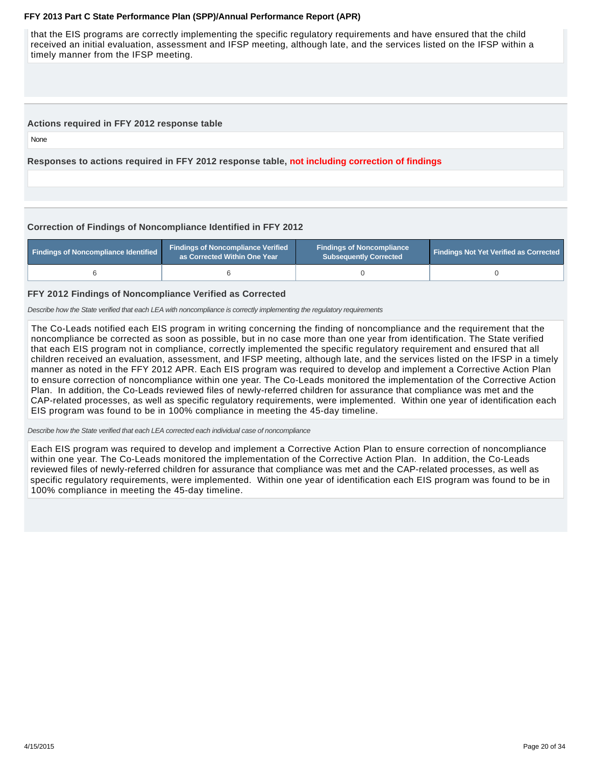that the EIS programs are correctly implementing the specific regulatory requirements and have ensured that the child received an initial evaluation, assessment and IFSP meeting, although late, and the services listed on the IFSP within a timely manner from the IFSP meeting.

### **Actions required in FFY 2012 response table**

None

**Responses to actions required in FFY 2012 response table, not including correction of findings**

## **Correction of Findings of Noncompliance Identified in FFY 2012**

| <b>Findings of Noncompliance Identified</b> | <b>Findings of Noncompliance Verified</b><br>as Corrected Within One Year | <b>Findings of Noncompliance</b><br>Subsequently Corrected | <b>Findings Not Yet Verified as Corrected</b> |  |
|---------------------------------------------|---------------------------------------------------------------------------|------------------------------------------------------------|-----------------------------------------------|--|
|                                             |                                                                           |                                                            |                                               |  |

### **FFY 2012 Findings of Noncompliance Verified as Corrected**

Describe how the State verified that each LEA with noncompliance is correctly implementing the regulatory requirements

The Co-Leads notified each EIS program in writing concerning the finding of noncompliance and the requirement that the noncompliance be corrected as soon as possible, but in no case more than one year from identification. The State verified that each EIS program not in compliance, correctly implemented the specific regulatory requirement and ensured that all children received an evaluation, assessment, and IFSP meeting, although late, and the services listed on the IFSP in a timely manner as noted in the FFY 2012 APR. Each EIS program was required to develop and implement a Corrective Action Plan to ensure correction of noncompliance within one year. The Co-Leads monitored the implementation of the Corrective Action Plan. In addition, the Co-Leads reviewed files of newly-referred children for assurance that compliance was met and the CAP-related processes, as well as specific regulatory requirements, were implemented. Within one year of identification each EIS program was found to be in 100% compliance in meeting the 45-day timeline.

Describe how the State verified that each LEA corrected each individual case of noncompliance

Each EIS program was required to develop and implement a Corrective Action Plan to ensure correction of noncompliance within one year. The Co-Leads monitored the implementation of the Corrective Action Plan. In addition, the Co-Leads reviewed files of newly-referred children for assurance that compliance was met and the CAP-related processes, as well as specific regulatory requirements, were implemented. Within one year of identification each EIS program was found to be in 100% compliance in meeting the 45-day timeline.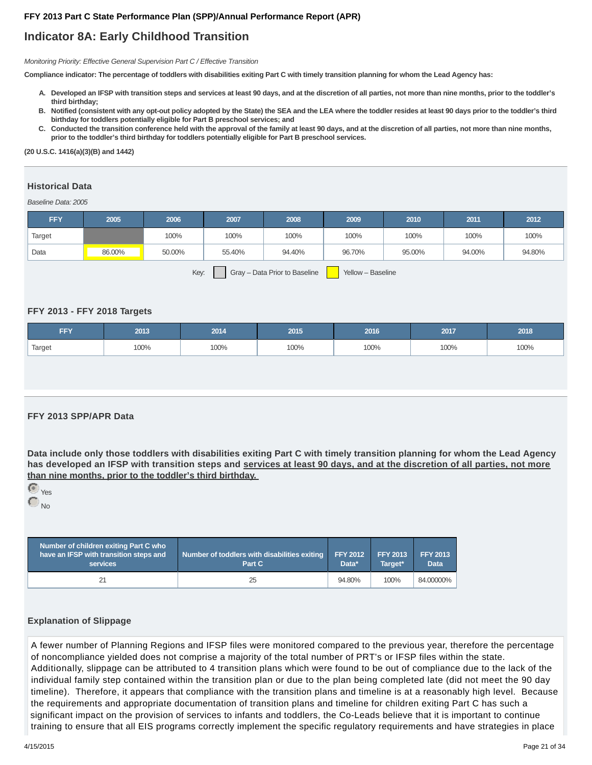## **Indicator 8A: Early Childhood Transition**

Monitoring Priority: Effective General Supervision Part C / Effective Transition

**Compliance indicator: The percentage of toddlers with disabilities exiting Part C with timely transition planning for whom the Lead Agency has:**

- **Developed an IFSP with transition steps and services at least 90 days, and at the discretion of all parties, not more than nine months, prior to the toddler's A. third birthday;**
- **Notified (consistent with any opt-out policy adopted by the State) the SEA and the LEA where the toddler resides at least 90 days prior to the toddler's third B. birthday for toddlers potentially eligible for Part B preschool services; and**
- C. Conducted the transition conference held with the approval of the family at least 90 days, and at the discretion of all parties, not more than nine months, **prior to the toddler's third birthday for toddlers potentially eligible for Part B preschool services.**

#### **(20 U.S.C. 1416(a)(3)(B) and 1442)**

## **Historical Data**

Baseline Data: 2005

| <b>FFY</b> | 2005   | 2006   | 2007   | 2008                          | 2009              | 2010   | 2011   | 2012   |
|------------|--------|--------|--------|-------------------------------|-------------------|--------|--------|--------|
| Target     |        | 100%   | 100%   | 100%                          | 100%              | 100%   | 100%   | 100%   |
| Data       | 86.00% | 50.00% | 55.40% | 94.40%                        | 96.70%            | 95.00% | 94.00% | 94.80% |
|            |        | Key:   |        | Gray - Data Prior to Baseline | Yellow - Baseline |        |        |        |

### **FFY 2013 - FFY 2018 Targets**

| FFY.   | 2013 | 2014 | 2015 | 2016 | 2017 | 2018 |
|--------|------|------|------|------|------|------|
| Target | 100% | 100% | 100% | 100% | 100% | 100% |

## **FFY 2013 SPP/APR Data**

**Data include only those toddlers with disabilities exiting Part C with timely transition planning for whom the Lead Agency has developed an IFSP with transition steps and services at least 90 days, and at the discretion of all parties, not more than nine months, prior to the toddler's third birthday.**



| Number of children exiting Part C who<br>have an IFSP with transition steps and<br><b>services</b> | Number of toddlers with disabilities exiting<br>Part C | <b>FFY 2012</b><br>Data* | <b>FFY 2013</b><br>Target* | <b>FFY 2013</b><br><b>Data</b> |
|----------------------------------------------------------------------------------------------------|--------------------------------------------------------|--------------------------|----------------------------|--------------------------------|
| 21                                                                                                 | 25                                                     | 94.80%                   | 100%                       | 84.00000%                      |

#### **Explanation of Slippage**

A fewer number of Planning Regions and IFSP files were monitored compared to the previous year, therefore the percentage of noncompliance yielded does not comprise a majority of the total number of PRT's or IFSP files within the state. Additionally, slippage can be attributed to 4 transition plans which were found to be out of compliance due to the lack of the individual family step contained within the transition plan or due to the plan being completed late (did not meet the 90 day timeline). Therefore, it appears that compliance with the transition plans and timeline is at a reasonably high level. Because the requirements and appropriate documentation of transition plans and timeline for children exiting Part C has such a significant impact on the provision of services to infants and toddlers, the Co-Leads believe that it is important to continue training to ensure that all EIS programs correctly implement the specific regulatory requirements and have strategies in place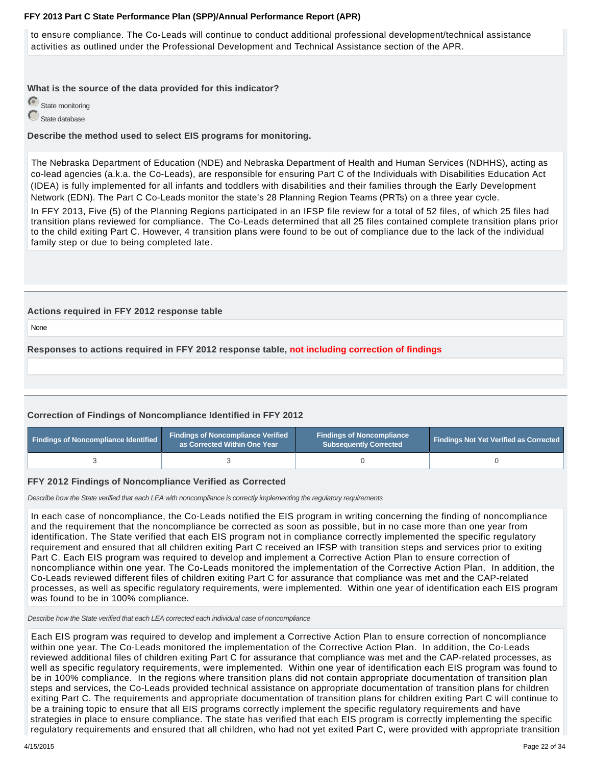to ensure compliance. The Co-Leads will continue to conduct additional professional development/technical assistance activities as outlined under the Professional Development and Technical Assistance section of the APR.

**What is the source of the data provided for this indicator?**



**Describe the method used to select EIS programs for monitoring.**

The Nebraska Department of Education (NDE) and Nebraska Department of Health and Human Services (NDHHS), acting as co-lead agencies (a.k.a. the Co-Leads), are responsible for ensuring Part C of the Individuals with Disabilities Education Act (IDEA) is fully implemented for all infants and toddlers with disabilities and their families through the Early Development Network (EDN). The Part C Co-Leads monitor the state's 28 Planning Region Teams (PRTs) on a three year cycle.

In FFY 2013, Five (5) of the Planning Regions participated in an IFSP file review for a total of 52 files, of which 25 files had transition plans reviewed for compliance. The Co-Leads determined that all 25 files contained complete transition plans prior to the child exiting Part C. However, 4 transition plans were found to be out of compliance due to the lack of the individual family step or due to being completed late.

## **Actions required in FFY 2012 response table**

None

**Responses to actions required in FFY 2012 response table, not including correction of findings**

## **Correction of Findings of Noncompliance Identified in FFY 2012**

| <b>Findings of Noncompliance Verified</b><br><b>Findings of Noncompliance Identified</b><br>as Corrected Within One Year |  | <b>Findings of Noncompliance</b><br><b>Subsequently Corrected</b> | <b>Findings Not Yet Verified as Corrected</b> |  |
|--------------------------------------------------------------------------------------------------------------------------|--|-------------------------------------------------------------------|-----------------------------------------------|--|
|                                                                                                                          |  |                                                                   |                                               |  |

## **FFY 2012 Findings of Noncompliance Verified as Corrected**

Describe how the State verified that each LEA with noncompliance is correctly implementing the regulatory requirements

In each case of noncompliance, the Co-Leads notified the EIS program in writing concerning the finding of noncompliance and the requirement that the noncompliance be corrected as soon as possible, but in no case more than one year from identification. The State verified that each EIS program not in compliance correctly implemented the specific regulatory requirement and ensured that all children exiting Part C received an IFSP with transition steps and services prior to exiting Part C. Each EIS program was required to develop and implement a Corrective Action Plan to ensure correction of noncompliance within one year. The Co-Leads monitored the implementation of the Corrective Action Plan. In addition, the Co-Leads reviewed different files of children exiting Part C for assurance that compliance was met and the CAP-related processes, as well as specific regulatory requirements, were implemented. Within one year of identification each EIS program was found to be in 100% compliance.

Describe how the State verified that each LEA corrected each individual case of noncompliance

Each EIS program was required to develop and implement a Corrective Action Plan to ensure correction of noncompliance within one year. The Co-Leads monitored the implementation of the Corrective Action Plan. In addition, the Co-Leads reviewed additional files of children exiting Part C for assurance that compliance was met and the CAP-related processes, as well as specific regulatory requirements, were implemented. Within one year of identification each EIS program was found to be in 100% compliance. In the regions where transition plans did not contain appropriate documentation of transition plan steps and services, the Co-Leads provided technical assistance on appropriate documentation of transition plans for children exiting Part C. The requirements and appropriate documentation of transition plans for children exiting Part C will continue to be a training topic to ensure that all EIS programs correctly implement the specific regulatory requirements and have strategies in place to ensure compliance. The state has verified that each EIS program is correctly implementing the specific regulatory requirements and ensured that all children, who had not yet exited Part C, were provided with appropriate transition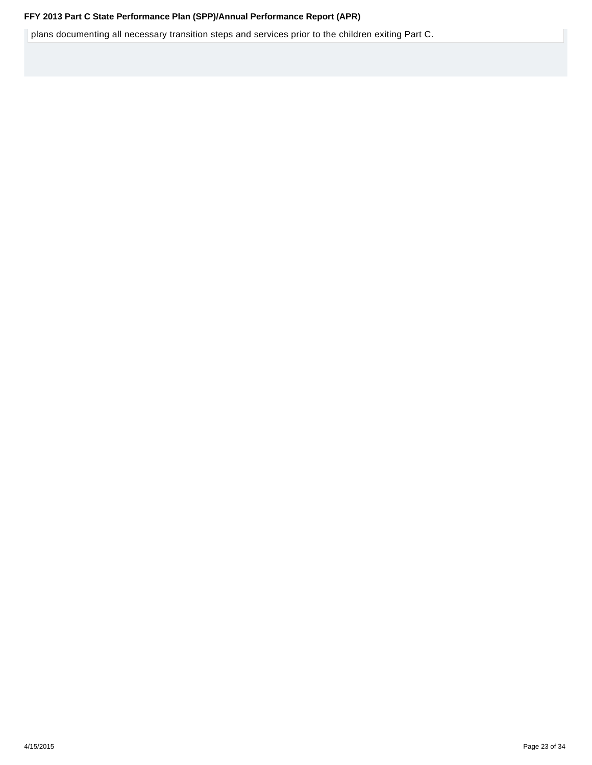**FFY 2013 Part C State Performance Plan (SPP)/Annual Performance Report (APR)**<br>**Figure 10 Intervals Part C. The plansition steps and services prior to the children exiting Part C.**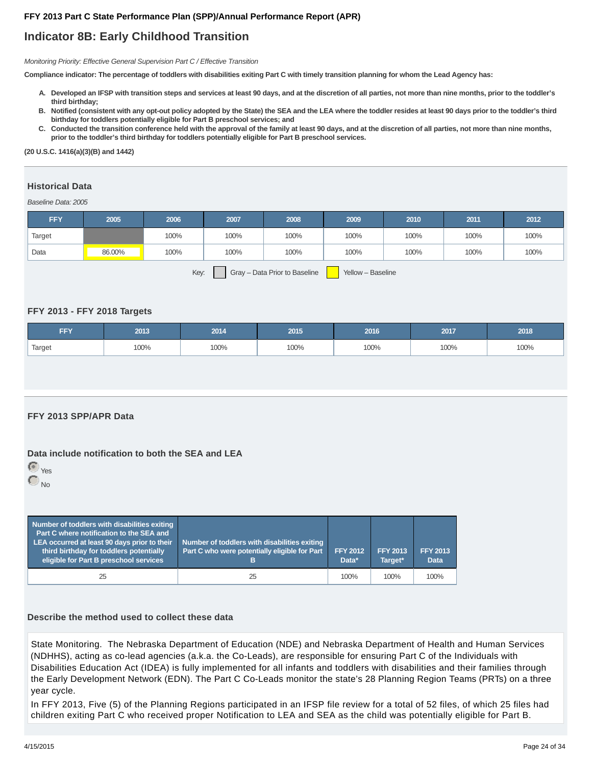## **Indicator 8B: Early Childhood Transition**

Monitoring Priority: Effective General Supervision Part C / Effective Transition

**Compliance indicator: The percentage of toddlers with disabilities exiting Part C with timely transition planning for whom the Lead Agency has:**

- **Developed an IFSP with transition steps and services at least 90 days, and at the discretion of all parties, not more than nine months, prior to the toddler's A. third birthday;**
- **Notified (consistent with any opt-out policy adopted by the State) the SEA and the LEA where the toddler resides at least 90 days prior to the toddler's third B. birthday for toddlers potentially eligible for Part B preschool services; and**
- C. Conducted the transition conference held with the approval of the family at least 90 days, and at the discretion of all parties, not more than nine months, **prior to the toddler's third birthday for toddlers potentially eligible for Part B preschool services.**

#### **(20 U.S.C. 1416(a)(3)(B) and 1442)**

## **Historical Data**

Baseline Data: 2005

| <b>FFY</b> | 2005   | 2006 | 2007   | 2008 | 2009 | 2010 | 2011 | 2012 |
|------------|--------|------|--------|------|------|------|------|------|
| Target     |        | 100% | 100%   | 100% | 100% | 100% | 100% | 100% |
| Data       | 86.00% | 100% | 100%   | 100% | 100% | 100% | 100% | 100% |
|            |        |      | $\sim$ |      |      |      |      |      |

Key: Gray – Data Prior to Baseline Yellow – Baseline

## **FFY 2013 - FFY 2018 Targets**

| FFY    | 2013 | 2014 | 2015 | 2016 | 2017 | 2018 |
|--------|------|------|------|------|------|------|
| Target | 100% | 100% | 100% | 100% | 100% | 100% |

## **FFY 2013 SPP/APR Data**

## **Data include notification to both the SEA and LEA**



| Number of toddlers with disabilities exiting<br><b>Part C where notification to the SEA and</b><br>LEA occurred at least 90 days prior to their<br>third birthday for toddlers potentially<br>eligible for Part B preschool services | Number of toddlers with disabilities exiting<br>Part C who were potentially eligible for Part<br>в | <b>FFY 2012</b><br>Data* | <b>FFY 2013</b><br>Target* | <b>FFY 2013</b><br><b>Data</b> |
|--------------------------------------------------------------------------------------------------------------------------------------------------------------------------------------------------------------------------------------|----------------------------------------------------------------------------------------------------|--------------------------|----------------------------|--------------------------------|
| 25                                                                                                                                                                                                                                   | 25                                                                                                 | 100%                     | 100%                       | 100%                           |

## **Describe the method used to collect these data**

State Monitoring. The Nebraska Department of Education (NDE) and Nebraska Department of Health and Human Services (NDHHS), acting as co-lead agencies (a.k.a. the Co-Leads), are responsible for ensuring Part C of the Individuals with Disabilities Education Act (IDEA) is fully implemented for all infants and toddlers with disabilities and their families through the Early Development Network (EDN). The Part C Co-Leads monitor the state's 28 Planning Region Teams (PRTs) on a three year cycle.

In FFY 2013, Five (5) of the Planning Regions participated in an IFSP file review for a total of 52 files, of which 25 files had children exiting Part C who received proper Notification to LEA and SEA as the child was potentially eligible for Part B.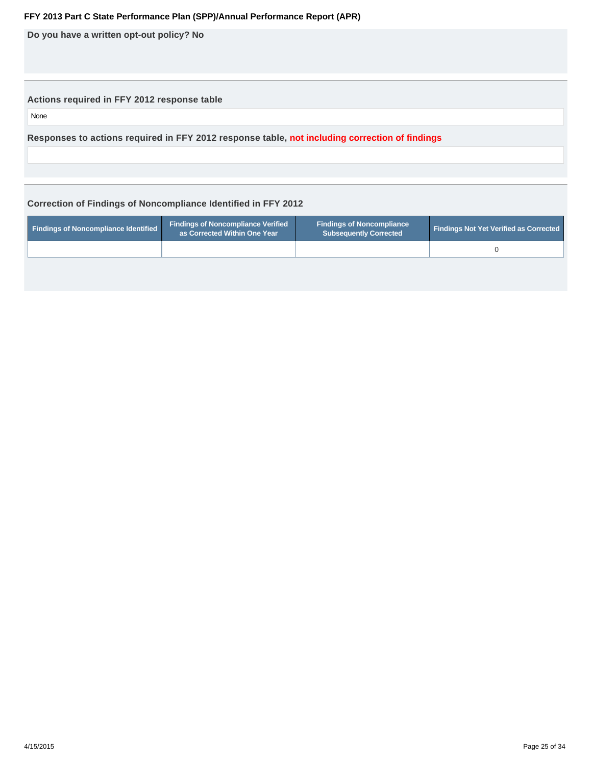**Do you have a written opt-out policy? No**

## **Actions required in FFY 2012 response table**

None

**Responses to actions required in FFY 2012 response table, not including correction of findings**

## **Correction of Findings of Noncompliance Identified in FFY 2012**

| Findings of Noncompliance Identified | <b>Findings of Noncompliance Verified</b><br>as Corrected Within One Year | <b>Findings of Noncompliance</b><br><b>Subsequently Corrected</b> | <b>Findings Not Yet Verified as Corrected</b> |
|--------------------------------------|---------------------------------------------------------------------------|-------------------------------------------------------------------|-----------------------------------------------|
|                                      |                                                                           |                                                                   |                                               |
|                                      |                                                                           |                                                                   |                                               |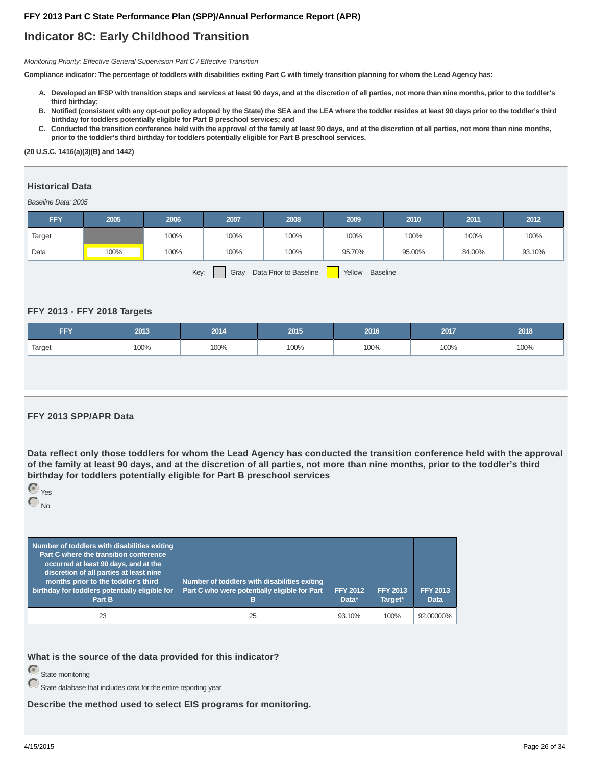## **Indicator 8C: Early Childhood Transition**

Monitoring Priority: Effective General Supervision Part C / Effective Transition

**Compliance indicator: The percentage of toddlers with disabilities exiting Part C with timely transition planning for whom the Lead Agency has:**

- **Developed an IFSP with transition steps and services at least 90 days, and at the discretion of all parties, not more than nine months, prior to the toddler's A. third birthday;**
- **Notified (consistent with any opt-out policy adopted by the State) the SEA and the LEA where the toddler resides at least 90 days prior to the toddler's third B. birthday for toddlers potentially eligible for Part B preschool services; and**
- C. Conducted the transition conference held with the approval of the family at least 90 days, and at the discretion of all parties, not more than nine months, **prior to the toddler's third birthday for toddlers potentially eligible for Part B preschool services.**

#### **(20 U.S.C. 1416(a)(3)(B) and 1442)**

## **Historical Data**

Baseline Data: 2005

| <b>FFY</b> | 2005 | 2006 | 2007 | 2008                          | 2009              | 2010   | 2011   | 2012   |
|------------|------|------|------|-------------------------------|-------------------|--------|--------|--------|
| Target     |      | 100% | 100% | 100%                          | 100%              | 100%   | 100%   | 100%   |
| Data       | 100% | 100% | 100% | 100%                          | 95.70%            | 95.00% | 84.00% | 93.10% |
|            |      | Key: |      | Gray - Data Prior to Baseline | Yellow - Baseline |        |        |        |

### **FFY 2013 - FFY 2018 Targets**

| FFY,   | 2013 | 2014 | 2015 | 2016 | 2017 | 2018 |
|--------|------|------|------|------|------|------|
| Target | 100% | 100% | 100% | 100% | 100% | 100% |

#### **FFY 2013 SPP/APR Data**

**Data reflect only those toddlers for whom the Lead Agency has conducted the transition conference held with the approval of the family at least 90 days, and at the discretion of all parties, not more than nine months, prior to the toddler's third birthday for toddlers potentially eligible for Part B preschool services**



| Number of toddlers with disabilities exiting<br>Part C where the transition conference<br>occurred at least 90 days, and at the<br>discretion of all parties at least nine<br>months prior to the toddler's third<br>birthday for toddlers potentially eligible for<br>Part B | Number of toddlers with disabilities exiting<br>Part C who were potentially eligible for Part<br>в | <b>FFY 2012</b><br>Data* | <b>FFY 2013</b><br>Target* | <b>FFY 2013</b><br><b>Data</b> |
|-------------------------------------------------------------------------------------------------------------------------------------------------------------------------------------------------------------------------------------------------------------------------------|----------------------------------------------------------------------------------------------------|--------------------------|----------------------------|--------------------------------|
| 23                                                                                                                                                                                                                                                                            | 25                                                                                                 | 93.10%                   | 100%                       | 92.00000%                      |

**What is the source of the data provided for this indicator?**

State monitoring

 $\bigodot$  State database that includes data for the entire reporting year

**Describe the method used to select EIS programs for monitoring.**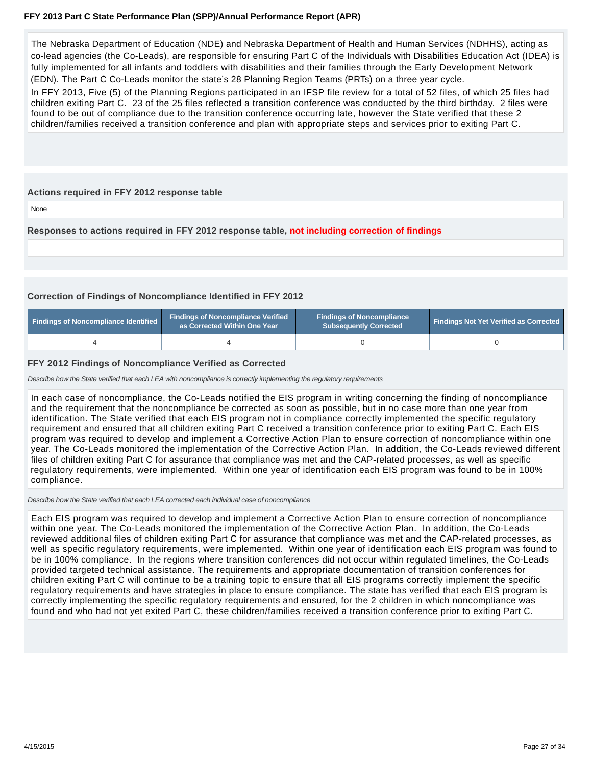The Nebraska Department of Education (NDE) and Nebraska Department of Health and Human Services (NDHHS), acting as co-lead agencies (the Co-Leads), are responsible for ensuring Part C of the Individuals with Disabilities Education Act (IDEA) is fully implemented for all infants and toddlers with disabilities and their families through the Early Development Network (EDN). The Part C Co-Leads monitor the state's 28 Planning Region Teams (PRTs) on a three year cycle.

In FFY 2013, Five (5) of the Planning Regions participated in an IFSP file review for a total of 52 files, of which 25 files had children exiting Part C. 23 of the 25 files reflected a transition conference was conducted by the third birthday. 2 files were found to be out of compliance due to the transition conference occurring late, however the State verified that these 2 children/families received a transition conference and plan with appropriate steps and services prior to exiting Part C.

## **Actions required in FFY 2012 response table**

None

**Responses to actions required in FFY 2012 response table, not including correction of findings**

## **Correction of Findings of Noncompliance Identified in FFY 2012**

| <b>Findings of Noncompliance Verified</b><br>Findings of Noncompliance Identified<br>as Corrected Within One Year |  | <b>Findings of Noncompliance</b><br>Subsequently Corrected | <b>Findings Not Yet Verified as Corrected</b> |  |
|-------------------------------------------------------------------------------------------------------------------|--|------------------------------------------------------------|-----------------------------------------------|--|
|                                                                                                                   |  |                                                            |                                               |  |

## **FFY 2012 Findings of Noncompliance Verified as Corrected**

Describe how the State verified that each LEA with noncompliance is correctly implementing the regulatory requirements

In each case of noncompliance, the Co-Leads notified the EIS program in writing concerning the finding of noncompliance and the requirement that the noncompliance be corrected as soon as possible, but in no case more than one year from identification. The State verified that each EIS program not in compliance correctly implemented the specific regulatory requirement and ensured that all children exiting Part C received a transition conference prior to exiting Part C. Each EIS program was required to develop and implement a Corrective Action Plan to ensure correction of noncompliance within one year. The Co-Leads monitored the implementation of the Corrective Action Plan. In addition, the Co-Leads reviewed different files of children exiting Part C for assurance that compliance was met and the CAP-related processes, as well as specific regulatory requirements, were implemented. Within one year of identification each EIS program was found to be in 100% compliance.

Describe how the State verified that each LEA corrected each individual case of noncompliance

Each EIS program was required to develop and implement a Corrective Action Plan to ensure correction of noncompliance within one year. The Co-Leads monitored the implementation of the Corrective Action Plan. In addition, the Co-Leads reviewed additional files of children exiting Part C for assurance that compliance was met and the CAP-related processes, as well as specific regulatory requirements, were implemented. Within one year of identification each EIS program was found to be in 100% compliance. In the regions where transition conferences did not occur within regulated timelines, the Co-Leads provided targeted technical assistance. The requirements and appropriate documentation of transition conferences for children exiting Part C will continue to be a training topic to ensure that all EIS programs correctly implement the specific regulatory requirements and have strategies in place to ensure compliance. The state has verified that each EIS program is correctly implementing the specific regulatory requirements and ensured, for the 2 children in which noncompliance was found and who had not yet exited Part C, these children/families received a transition conference prior to exiting Part C.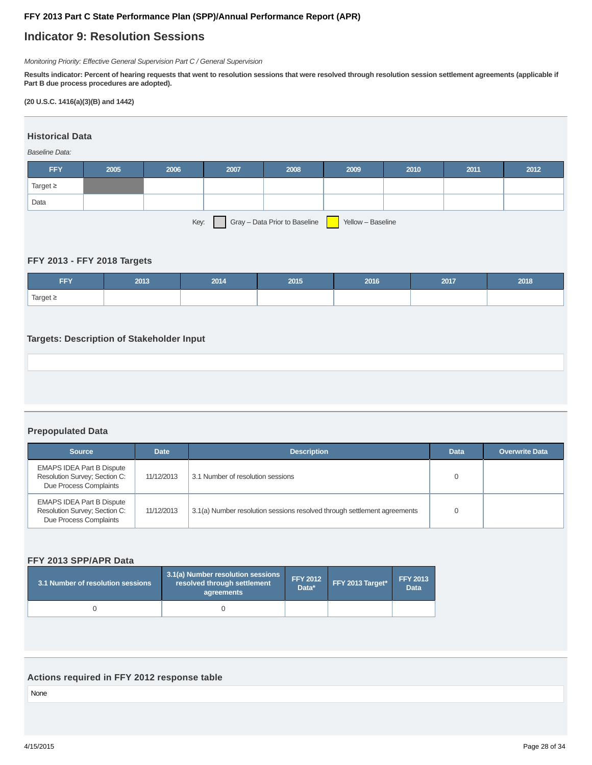## **Indicator 9: Resolution Sessions**

Monitoring Priority: Effective General Supervision Part C / General Supervision

**Results indicator: Percent of hearing requests that went to resolution sessions that were resolved through resolution session settlement agreements (applicable if Part B due process procedures are adopted).**

## **(20 U.S.C. 1416(a)(3)(B) and 1442)**

## **Historical Data**

## Baseline Data:

| <b>FFY</b>    | 2005 | 2006 | 2007 | 2008                          | 2009              | 2010 | 2011 | 2012 |
|---------------|------|------|------|-------------------------------|-------------------|------|------|------|
| Target $\geq$ |      |      |      |                               |                   |      |      |      |
| Data          |      |      |      |                               |                   |      |      |      |
|               |      | Key: |      | Gray - Data Prior to Baseline | Yellow - Baseline |      |      |      |

## **FFY 2013 - FFY 2018 Targets**

| <b>FFY</b>    | 2013 | 2014 | 2015 | 2016 | 2017 | 2018 |
|---------------|------|------|------|------|------|------|
| Target $\geq$ |      |      |      |      |      |      |

## **Targets: Description of Stakeholder Input**

## **Prepopulated Data**

| <b>Source</b>                                                                               | <b>Date</b> | <b>Description</b>                                                       | <b>Data</b> | <b>Overwrite Data</b> |
|---------------------------------------------------------------------------------------------|-------------|--------------------------------------------------------------------------|-------------|-----------------------|
| <b>EMAPS IDEA Part B Dispute</b><br>Resolution Survey; Section C:<br>Due Process Complaints | 11/12/2013  | 3.1 Number of resolution sessions                                        |             |                       |
| <b>EMAPS IDEA Part B Dispute</b><br>Resolution Survey; Section C:<br>Due Process Complaints | 11/12/2013  | 3.1(a) Number resolution sessions resolved through settlement agreements |             |                       |

## **FFY 2013 SPP/APR Data**

| 3.1 Number of resolution sessions | 3.1(a) Number resolution sessions<br>resolved through settlement<br>agreements | FFY 2012<br>Data* | FFY 2013 Target* | <b>FFY 2013</b><br><b>Data</b> |
|-----------------------------------|--------------------------------------------------------------------------------|-------------------|------------------|--------------------------------|
|                                   |                                                                                |                   |                  |                                |

## **Actions required in FFY 2012 response table**

None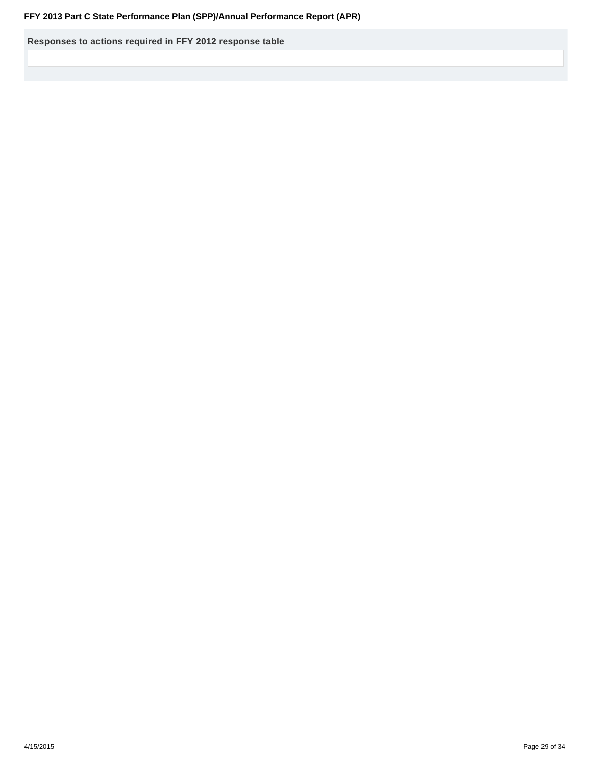**Responses to actions required in FFY 2012 response table**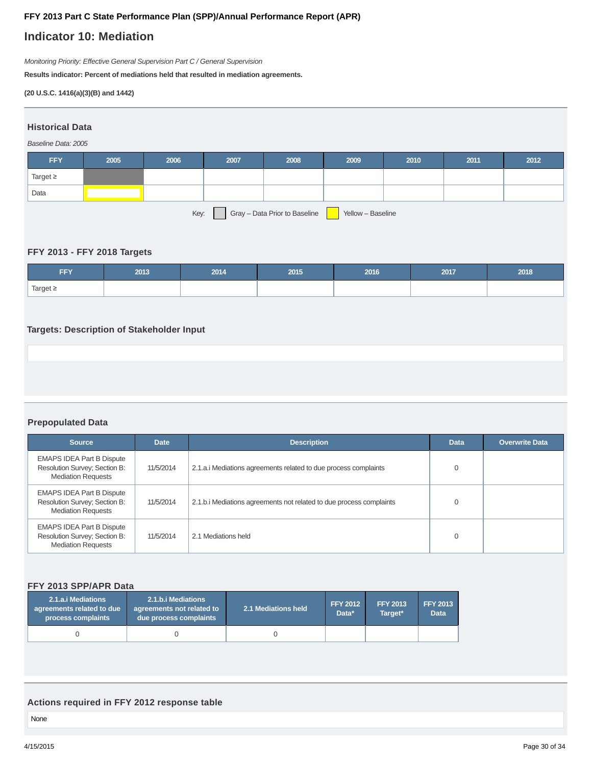## **Indicator 10: Mediation**

Monitoring Priority: Effective General Supervision Part C / General Supervision

**Results indicator: Percent of mediations held that resulted in mediation agreements.**

**(20 U.S.C. 1416(a)(3)(B) and 1442)**

| <b>Historical Data</b>                                     |      |      |      |      |      |      |      |      |
|------------------------------------------------------------|------|------|------|------|------|------|------|------|
| Baseline Data: 2005                                        |      |      |      |      |      |      |      |      |
| <b>FFY</b>                                                 | 2005 | 2006 | 2007 | 2008 | 2009 | 2010 | 2011 | 2012 |
| Target $\geq$                                              |      |      |      |      |      |      |      |      |
| Data                                                       |      |      |      |      |      |      |      |      |
| Gray - Data Prior to Baseline<br>Yellow - Baseline<br>Key: |      |      |      |      |      |      |      |      |

## **FFY 2013 - FFY 2018 Targets**

| CCV<br>FF L   | 2013 | 2014 | 2015 | 2016 | 2017 | 2018 |
|---------------|------|------|------|------|------|------|
| Target $\geq$ |      |      |      |      |      |      |

## **Targets: Description of Stakeholder Input**

**Prepopulated Data**

| <b>Source</b>                                                                                  | <b>Date</b> | <b>Description</b>                                                  | <b>Data</b> | <b>Overwrite Data</b> |
|------------------------------------------------------------------------------------------------|-------------|---------------------------------------------------------------------|-------------|-----------------------|
| <b>EMAPS IDEA Part B Dispute</b><br>Resolution Survey; Section B:<br><b>Mediation Requests</b> | 11/5/2014   | 2.1.a. iMediations agreements related to due process complaints     | $\Omega$    |                       |
| <b>EMAPS IDEA Part B Dispute</b><br>Resolution Survey; Section B:<br><b>Mediation Requests</b> | 11/5/2014   | 2.1.b.i Mediations agreements not related to due process complaints |             |                       |
| <b>EMAPS IDEA Part B Dispute</b><br>Resolution Survey; Section B:<br><b>Mediation Requests</b> | 11/5/2014   | 2.1 Mediations held                                                 | $\Omega$    |                       |

## **FFY 2013 SPP/APR Data**

| 2.1.b.i Mediations<br>2.1.a.i Mediations<br>agreements related to due<br>agreements not related to<br>process complaints<br>due process complaints |  | 2.1 Mediations held | <b>FFY 2012</b><br>Data* | <b>FFY 2013</b><br>Target* | <b>FFY 2013</b><br><b>Data</b> |
|----------------------------------------------------------------------------------------------------------------------------------------------------|--|---------------------|--------------------------|----------------------------|--------------------------------|
|                                                                                                                                                    |  |                     |                          |                            |                                |

## **Actions required in FFY 2012 response table**

None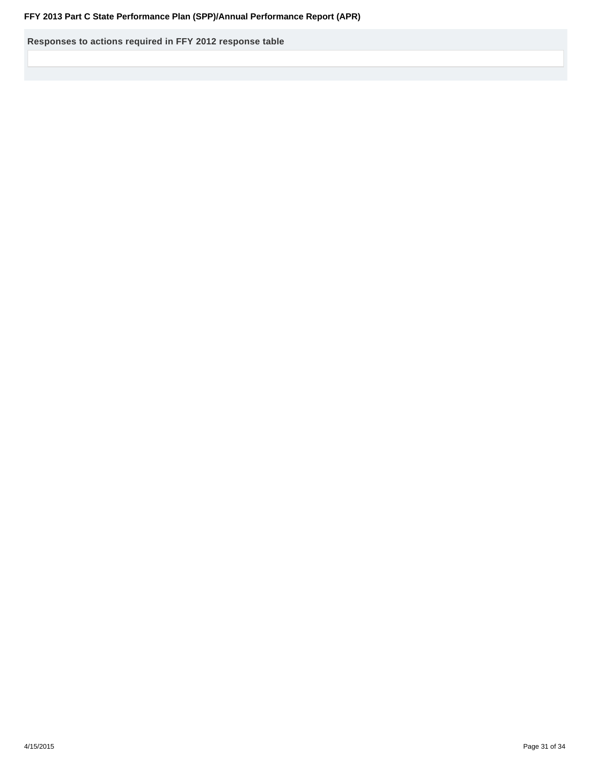**Responses to actions required in FFY 2012 response table**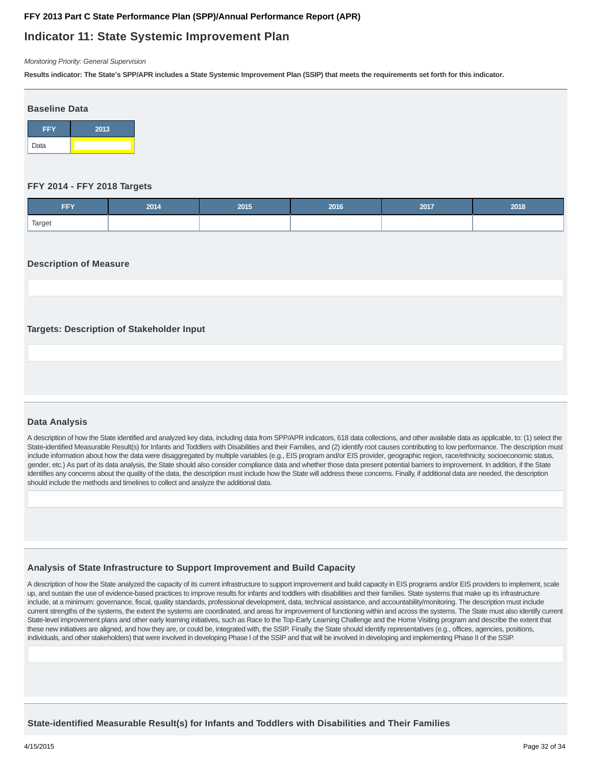## **Indicator 11: State Systemic Improvement Plan**

Monitoring Priority: General Supervision

**Results indicator: The State's SPP/APR includes a State Systemic Improvement Plan (SSIP) that meets the requirements set forth for this indicator.**



### **FFY 2014 - FFY 2018 Targets**

| <b>CCV</b><br>FFT. | 2014 | 2015 | 2016 | 2017 | 2018 |
|--------------------|------|------|------|------|------|
| Target             |      |      |      |      |      |

### **Description of Measure**

## **Targets: Description of Stakeholder Input**

## **Data Analysis**

A description of how the State identified and analyzed key data, including data from SPP/APR indicators, 618 data collections, and other available data as applicable, to: (1) select the State-identified Measurable Result(s) for Infants and Toddlers with Disabilities and their Families, and (2) identify root causes contributing to low performance. The description must include information about how the data were disaggregated by multiple variables (e.g., EIS program and/or EIS provider, geographic region, race/ethnicity, socioeconomic status, gender, etc.) As part of its data analysis, the State should also consider compliance data and whether those data present potential barriers to improvement. In addition, if the State identifies any concerns about the quality of the data, the description must include how the State will address these concerns. Finally, if additional data are needed, the description should include the methods and timelines to collect and analyze the additional data.

## **Analysis of State Infrastructure to Support Improvement and Build Capacity**

A description of how the State analyzed the capacity of its current infrastructure to support improvement and build capacity in EIS programs and/or EIS providers to implement, scale up, and sustain the use of evidence-based practices to improve results for infants and toddlers with disabilities and their families. State systems that make up its infrastructure include, at a minimum: governance, fiscal, quality standards, professional development, data, technical assistance, and accountability/monitoring. The description must include current strengths of the systems, the extent the systems are coordinated, and areas for improvement of functioning within and across the systems. The State must also identify current State-level improvement plans and other early learning initiatives, such as Race to the Top-Early Learning Challenge and the Home Visiting program and describe the extent that these new initiatives are aligned, and how they are, or could be, integrated with, the SSIP. Finally, the State should identify representatives (e.g., offices, agencies, positions, individuals, and other stakeholders) that were involved in developing Phase I of the SSIP and that will be involved in developing and implementing Phase II of the SSIP.

**State-identified Measurable Result(s) for Infants and Toddlers with Disabilities and Their Families**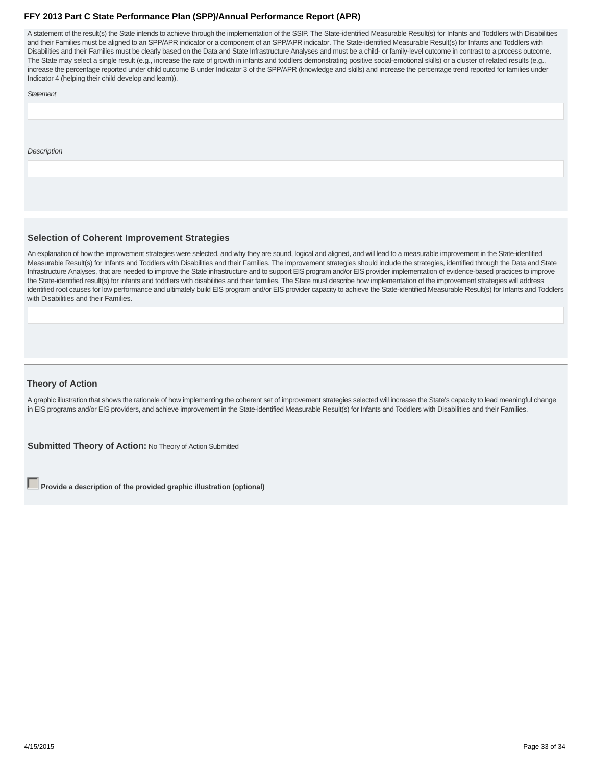A statement of the result(s) the State intends to achieve through the implementation of the SSIP. The State-identified Measurable Result(s) for Infants and Toddlers with Disabilities and their Families must be aligned to an SPP/APR indicator or a component of an SPP/APR indicator. The State-identified Measurable Result(s) for Infants and Toddlers with Disabilities and their Families must be clearly based on the Data and State Infrastructure Analyses and must be a child- or family-level outcome in contrast to a process outcome. The State may select a single result (e.g., increase the rate of growth in infants and toddlers demonstrating positive social-emotional skills) or a cluster of related results (e.g., increase the percentage reported under child outcome B under Indicator 3 of the SPP/APR (knowledge and skills) and increase the percentage trend reported for families under Indicator 4 (helping their child develop and learn)).

#### **Statement**

**Description** 

## **Selection of Coherent Improvement Strategies**

An explanation of how the improvement strategies were selected, and why they are sound, logical and aligned, and will lead to a measurable improvement in the State-identified Measurable Result(s) for Infants and Toddlers with Disabilities and their Families. The improvement strategies should include the strategies, identified through the Data and State Infrastructure Analyses, that are needed to improve the State infrastructure and to support EIS program and/or EIS provider implementation of evidence-based practices to improve the State-identified result(s) for infants and toddlers with disabilities and their families. The State must describe how implementation of the improvement strategies will address identified root causes for low performance and ultimately build EIS program and/or EIS provider capacity to achieve the State-identified Measurable Result(s) for Infants and Toddlers with Disabilities and their Families.

#### **Theory of Action**

A graphic illustration that shows the rationale of how implementing the coherent set of improvement strategies selected will increase the State's capacity to lead meaningful change in EIS programs and/or EIS providers, and achieve improvement in the State-identified Measurable Result(s) for Infants and Toddlers with Disabilities and their Families.

**Submitted Theory of Action: No Theory of Action Submitted** 

**Provide a description of the provided graphic illustration (optional)**